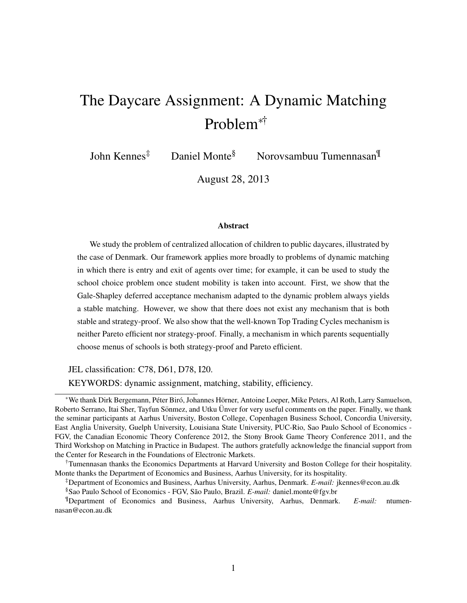# The Daycare Assignment: A Dynamic Matching Problem<sup>∗</sup>†

John Kennes<sup>‡</sup> Daniel Monte<sup>§</sup> Norovsambuu Tumennasan<sup>¶</sup>

August 28, 2013

#### Abstract

We study the problem of centralized allocation of children to public daycares, illustrated by the case of Denmark. Our framework applies more broadly to problems of dynamic matching in which there is entry and exit of agents over time; for example, it can be used to study the school choice problem once student mobility is taken into account. First, we show that the Gale-Shapley deferred acceptance mechanism adapted to the dynamic problem always yields a stable matching. However, we show that there does not exist any mechanism that is both stable and strategy-proof. We also show that the well-known Top Trading Cycles mechanism is neither Pareto efficient nor strategy-proof. Finally, a mechanism in which parents sequentially choose menus of schools is both strategy-proof and Pareto efficient.

JEL classification: C78, D61, D78, I20.

KEYWORDS: dynamic assignment, matching, stability, efficiency.

<sup>\*</sup>We thank Dirk Bergemann, Péter Biró, Johannes Hörner, Antoine Loeper, Mike Peters, Al Roth, Larry Samuelson, Roberto Serrano, Itai Sher, Tayfun Sönmez, and Utku Ünver for very useful comments on the paper. Finally, we thank the seminar participants at Aarhus University, Boston College, Copenhagen Business School, Concordia University, East Anglia University, Guelph University, Louisiana State University, PUC-Rio, Sao Paulo School of Economics - FGV, the Canadian Economic Theory Conference 2012, the Stony Brook Game Theory Conference 2011, and the Third Workshop on Matching in Practice in Budapest. The authors gratefully acknowledge the financial support from the Center for Research in the Foundations of Electronic Markets.

<sup>†</sup>Tumennasan thanks the Economics Departments at Harvard University and Boston College for their hospitality. Monte thanks the Department of Economics and Business, Aarhus University, for its hospitality.

<sup>‡</sup>Department of Economics and Business, Aarhus University, Aarhus, Denmark. *E-mail:* jkennes@econ.au.dk

<sup>§</sup>Sao Paulo School of Economics - FGV, Sao Paulo, Brazil. ˜ *E-mail:* daniel.monte@fgv.br

<sup>¶</sup>Department of Economics and Business, Aarhus University, Aarhus, Denmark. *E-mail:* ntumennasan@econ.au.dk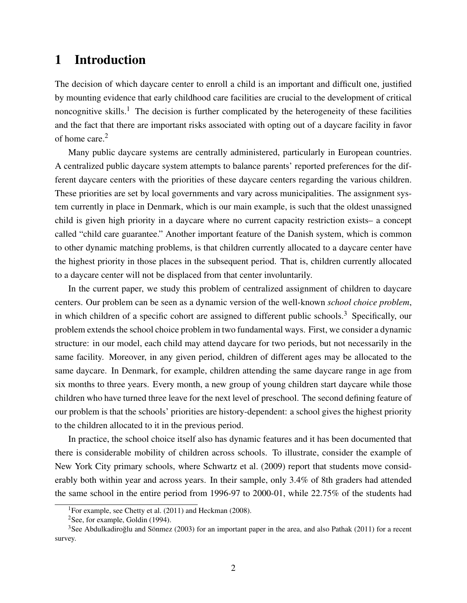### 1 Introduction

The decision of which daycare center to enroll a child is an important and difficult one, justified by mounting evidence that early childhood care facilities are crucial to the development of critical noncognitive skills.<sup>1</sup> The decision is further complicated by the heterogeneity of these facilities and the fact that there are important risks associated with opting out of a daycare facility in favor of home care.<sup>2</sup>

Many public daycare systems are centrally administered, particularly in European countries. A centralized public daycare system attempts to balance parents' reported preferences for the different daycare centers with the priorities of these daycare centers regarding the various children. These priorities are set by local governments and vary across municipalities. The assignment system currently in place in Denmark, which is our main example, is such that the oldest unassigned child is given high priority in a daycare where no current capacity restriction exists– a concept called "child care guarantee." Another important feature of the Danish system, which is common to other dynamic matching problems, is that children currently allocated to a daycare center have the highest priority in those places in the subsequent period. That is, children currently allocated to a daycare center will not be displaced from that center involuntarily.

In the current paper, we study this problem of centralized assignment of children to daycare centers. Our problem can be seen as a dynamic version of the well-known *school choice problem*, in which children of a specific cohort are assigned to different public schools.<sup>3</sup> Specifically, our problem extends the school choice problem in two fundamental ways. First, we consider a dynamic structure: in our model, each child may attend daycare for two periods, but not necessarily in the same facility. Moreover, in any given period, children of different ages may be allocated to the same daycare. In Denmark, for example, children attending the same daycare range in age from six months to three years. Every month, a new group of young children start daycare while those children who have turned three leave for the next level of preschool. The second defining feature of our problem is that the schools' priorities are history-dependent: a school gives the highest priority to the children allocated to it in the previous period.

In practice, the school choice itself also has dynamic features and it has been documented that there is considerable mobility of children across schools. To illustrate, consider the example of New York City primary schools, where Schwartz et al. (2009) report that students move considerably both within year and across years. In their sample, only 3.4% of 8th graders had attended the same school in the entire period from 1996-97 to 2000-01, while 22.75% of the students had

<sup>&</sup>lt;sup>1</sup>For example, see Chetty et al.  $(2011)$  and Heckman  $(2008)$ .

<sup>&</sup>lt;sup>2</sup>See, for example, Goldin  $(1994)$ .

 $3$ See Abdulkadiroğlu and Sönmez (2003) for an important paper in the area, and also Pathak (2011) for a recent survey.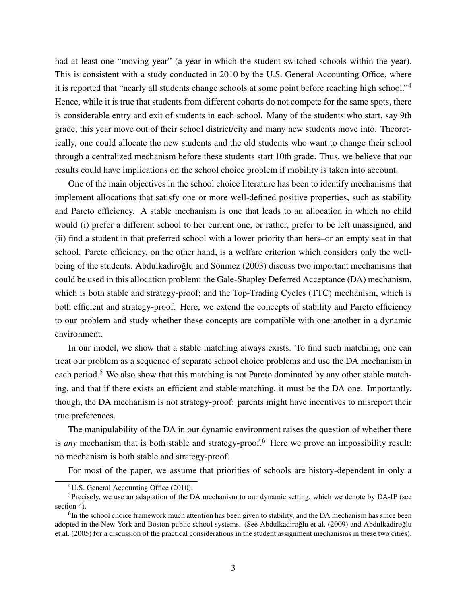had at least one "moving year" (a year in which the student switched schools within the year). This is consistent with a study conducted in 2010 by the U.S. General Accounting Office, where it is reported that "nearly all students change schools at some point before reaching high school."<sup>4</sup> Hence, while it is true that students from different cohorts do not compete for the same spots, there is considerable entry and exit of students in each school. Many of the students who start, say 9th grade, this year move out of their school district/city and many new students move into. Theoretically, one could allocate the new students and the old students who want to change their school through a centralized mechanism before these students start 10th grade. Thus, we believe that our results could have implications on the school choice problem if mobility is taken into account.

One of the main objectives in the school choice literature has been to identify mechanisms that implement allocations that satisfy one or more well-defined positive properties, such as stability and Pareto efficiency. A stable mechanism is one that leads to an allocation in which no child would (i) prefer a different school to her current one, or rather, prefer to be left unassigned, and (ii) find a student in that preferred school with a lower priority than hers–or an empty seat in that school. Pareto efficiency, on the other hand, is a welfare criterion which considers only the wellbeing of the students. Abdulkadiroğlu and Sönmez (2003) discuss two important mechanisms that could be used in this allocation problem: the Gale-Shapley Deferred Acceptance (DA) mechanism, which is both stable and strategy-proof; and the Top-Trading Cycles (TTC) mechanism, which is both efficient and strategy-proof. Here, we extend the concepts of stability and Pareto efficiency to our problem and study whether these concepts are compatible with one another in a dynamic environment.

In our model, we show that a stable matching always exists. To find such matching, one can treat our problem as a sequence of separate school choice problems and use the DA mechanism in each period.<sup>5</sup> We also show that this matching is not Pareto dominated by any other stable matching, and that if there exists an efficient and stable matching, it must be the DA one. Importantly, though, the DA mechanism is not strategy-proof: parents might have incentives to misreport their true preferences.

The manipulability of the DA in our dynamic environment raises the question of whether there is *any* mechanism that is both stable and strategy-proof.<sup>6</sup> Here we prove an impossibility result: no mechanism is both stable and strategy-proof.

For most of the paper, we assume that priorities of schools are history-dependent in only a

<sup>4</sup>U.S. General Accounting Office (2010).

<sup>5</sup>Precisely, we use an adaptation of the DA mechanism to our dynamic setting, which we denote by DA-IP (see section 4).

 ${}^{6}$ In the school choice framework much attention has been given to stability, and the DA mechanism has since been adopted in the New York and Boston public school systems. (See Abdulkadiroğlu et al. (2009) and Abdulkadiroğlu et al. (2005) for a discussion of the practical considerations in the student assignment mechanisms in these two cities).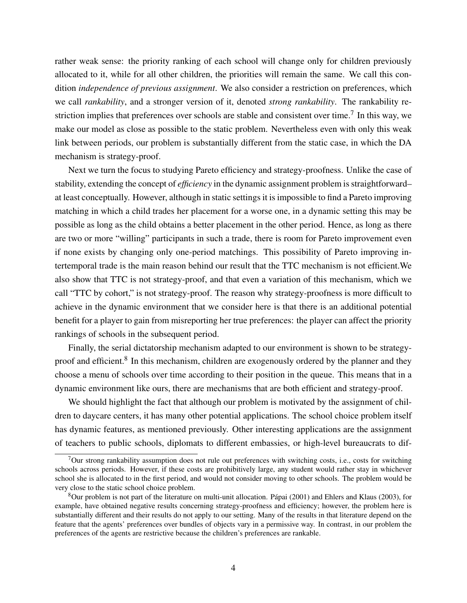rather weak sense: the priority ranking of each school will change only for children previously allocated to it, while for all other children, the priorities will remain the same. We call this condition *independence of previous assignment*. We also consider a restriction on preferences, which we call *rankability*, and a stronger version of it, denoted *strong rankability*. The rankability restriction implies that preferences over schools are stable and consistent over time.<sup>7</sup> In this way, we make our model as close as possible to the static problem. Nevertheless even with only this weak link between periods, our problem is substantially different from the static case, in which the DA mechanism is strategy-proof.

Next we turn the focus to studying Pareto efficiency and strategy-proofness. Unlike the case of stability, extending the concept of *efficiency* in the dynamic assignment problem is straightforward– at least conceptually. However, although in static settings it is impossible to find a Pareto improving matching in which a child trades her placement for a worse one, in a dynamic setting this may be possible as long as the child obtains a better placement in the other period. Hence, as long as there are two or more "willing" participants in such a trade, there is room for Pareto improvement even if none exists by changing only one-period matchings. This possibility of Pareto improving intertemporal trade is the main reason behind our result that the TTC mechanism is not efficient.We also show that TTC is not strategy-proof, and that even a variation of this mechanism, which we call "TTC by cohort," is not strategy-proof. The reason why strategy-proofness is more difficult to achieve in the dynamic environment that we consider here is that there is an additional potential benefit for a player to gain from misreporting her true preferences: the player can affect the priority rankings of schools in the subsequent period.

Finally, the serial dictatorship mechanism adapted to our environment is shown to be strategyproof and efficient.<sup>8</sup> In this mechanism, children are exogenously ordered by the planner and they choose a menu of schools over time according to their position in the queue. This means that in a dynamic environment like ours, there are mechanisms that are both efficient and strategy-proof.

We should highlight the fact that although our problem is motivated by the assignment of children to daycare centers, it has many other potential applications. The school choice problem itself has dynamic features, as mentioned previously. Other interesting applications are the assignment of teachers to public schools, diplomats to different embassies, or high-level bureaucrats to dif-

<sup>&</sup>lt;sup>7</sup>Our strong rankability assumption does not rule out preferences with switching costs, i.e., costs for switching schools across periods. However, if these costs are prohibitively large, any student would rather stay in whichever school she is allocated to in the first period, and would not consider moving to other schools. The problem would be very close to the static school choice problem.

 $8$ Our problem is not part of the literature on multi-unit allocation. Pápai (2001) and Ehlers and Klaus (2003), for example, have obtained negative results concerning strategy-proofness and efficiency; however, the problem here is substantially different and their results do not apply to our setting. Many of the results in that literature depend on the feature that the agents' preferences over bundles of objects vary in a permissive way. In contrast, in our problem the preferences of the agents are restrictive because the children's preferences are rankable.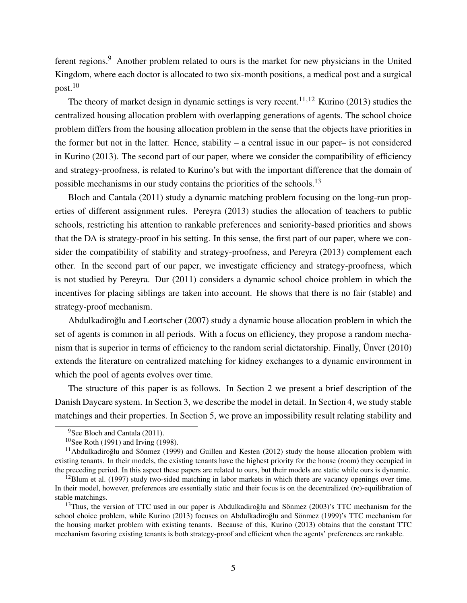ferent regions.<sup>9</sup> Another problem related to ours is the market for new physicians in the United Kingdom, where each doctor is allocated to two six-month positions, a medical post and a surgical post.<sup>10</sup>

The theory of market design in dynamic settings is very recent.<sup>11,12</sup> Kurino (2013) studies the centralized housing allocation problem with overlapping generations of agents. The school choice problem differs from the housing allocation problem in the sense that the objects have priorities in the former but not in the latter. Hence, stability – a central issue in our paper– is not considered in Kurino (2013). The second part of our paper, where we consider the compatibility of efficiency and strategy-proofness, is related to Kurino's but with the important difference that the domain of possible mechanisms in our study contains the priorities of the schools.<sup>13</sup>

Bloch and Cantala (2011) study a dynamic matching problem focusing on the long-run properties of different assignment rules. Pereyra (2013) studies the allocation of teachers to public schools, restricting his attention to rankable preferences and seniority-based priorities and shows that the DA is strategy-proof in his setting. In this sense, the first part of our paper, where we consider the compatibility of stability and strategy-proofness, and Pereyra (2013) complement each other. In the second part of our paper, we investigate efficiency and strategy-proofness, which is not studied by Pereyra. Dur (2011) considers a dynamic school choice problem in which the incentives for placing siblings are taken into account. He shows that there is no fair (stable) and strategy-proof mechanism.

Abdulkadiroğlu and Leortscher (2007) study a dynamic house allocation problem in which the set of agents is common in all periods. With a focus on efficiency, they propose a random mechanism that is superior in terms of efficiency to the random serial dictatorship. Finally, Unver  $(2010)$ extends the literature on centralized matching for kidney exchanges to a dynamic environment in which the pool of agents evolves over time.

The structure of this paper is as follows. In Section 2 we present a brief description of the Danish Daycare system. In Section 3, we describe the model in detail. In Section 4, we study stable matchings and their properties. In Section 5, we prove an impossibility result relating stability and

<sup>&</sup>lt;sup>9</sup>See Bloch and Cantala (2011).

 $10$ See Roth (1991) and Irving (1998).

 $11$ Abdulkadiroğlu and Sönmez (1999) and Guillen and Kesten (2012) study the house allocation problem with existing tenants. In their models, the existing tenants have the highest priority for the house (room) they occupied in the preceding period. In this aspect these papers are related to ours, but their models are static while ours is dynamic.

 $12$ Blum et al. (1997) study two-sided matching in labor markets in which there are vacancy openings over time. In their model, however, preferences are essentially static and their focus is on the decentralized (re)-equilibration of stable matchings.

 $13$ Thus, the version of TTC used in our paper is Abdulkadiroğlu and Sönmez (2003)'s TTC mechanism for the school choice problem, while Kurino (2013) focuses on Abdulkadiroğlu and Sönmez (1999)'s TTC mechanism for the housing market problem with existing tenants. Because of this, Kurino (2013) obtains that the constant TTC mechanism favoring existing tenants is both strategy-proof and efficient when the agents' preferences are rankable.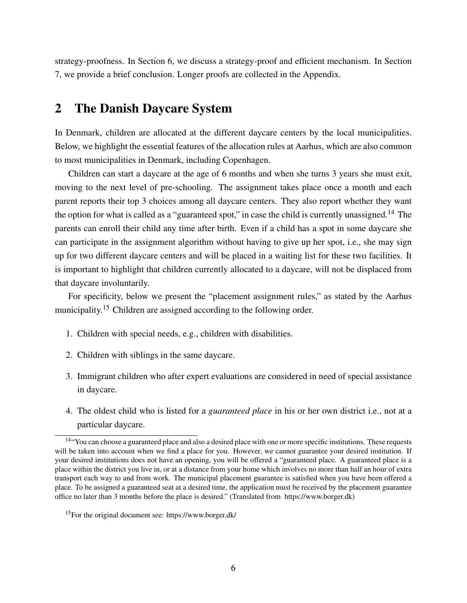strategy-proofness. In Section 6, we discuss a strategy-proof and efficient mechanism. In Section 7, we provide a brief conclusion. Longer proofs are collected in the Appendix.

### 2 The Danish Daycare System

In Denmark, children are allocated at the different daycare centers by the local municipalities. Below, we highlight the essential features of the allocation rules at Aarhus, which are also common to most municipalities in Denmark, including Copenhagen.

Children can start a daycare at the age of 6 months and when she turns 3 years she must exit, moving to the next level of pre-schooling. The assignment takes place once a month and each parent reports their top 3 choices among all daycare centers. They also report whether they want the option for what is called as a "guaranteed spot," in case the child is currently unassigned.<sup>14</sup> The parents can enroll their child any time after birth. Even if a child has a spot in some daycare she can participate in the assignment algorithm without having to give up her spot, i.e., she may sign up for two different daycare centers and will be placed in a waiting list for these two facilities. It is important to highlight that children currently allocated to a daycare, will not be displaced from that daycare involuntarily.

For specificity, below we present the "placement assignment rules," as stated by the Aarhus municipality.<sup>15</sup> Children are assigned according to the following order.

- 1. Children with special needs, e.g., children with disabilities.
- 2. Children with siblings in the same daycare.
- 3. Immigrant children who after expert evaluations are considered in need of special assistance in daycare.
- 4. The oldest child who is listed for a *guaranteed place* in his or her own district i.e., not at a particular daycare.

<sup>14</sup>"You can choose a guaranteed place and also a desired place with one or more specific institutions. These requests will be taken into account when we find a place for you. However, we cannot guarantee your desired institution. If your desired institutions does not have an opening, you will be offered a "guaranteed place. A guaranteed place is a place within the district you live in, or at a distance from your home which involves no more than half an hour of extra transport each way to and from work. The municipal placement guarantee is satisfied when you have been offered a place. To be assigned a guaranteed seat at a desired time, the application must be received by the placement guarantee office no later than 3 months before the place is desired." (Translated from https://www.borger.dk)

<sup>15</sup>For the original document see: https://www.borger.dk/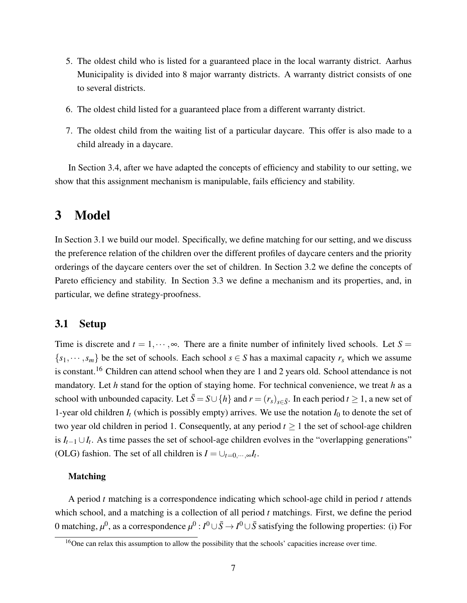- 5. The oldest child who is listed for a guaranteed place in the local warranty district. Aarhus Municipality is divided into 8 major warranty districts. A warranty district consists of one to several districts.
- 6. The oldest child listed for a guaranteed place from a different warranty district.
- 7. The oldest child from the waiting list of a particular daycare. This offer is also made to a child already in a daycare.

In Section 3.4, after we have adapted the concepts of efficiency and stability to our setting, we show that this assignment mechanism is manipulable, fails efficiency and stability.

### 3 Model

In Section 3.1 we build our model. Specifically, we define matching for our setting, and we discuss the preference relation of the children over the different profiles of daycare centers and the priority orderings of the daycare centers over the set of children. In Section 3.2 we define the concepts of Pareto efficiency and stability. In Section 3.3 we define a mechanism and its properties, and, in particular, we define strategy-proofness.

### 3.1 Setup

Time is discrete and  $t = 1, \dots, \infty$ . There are a finite number of infinitely lived schools. Let  $S =$  ${s_1, \dots, s_m}$  be the set of schools. Each school  $s \in S$  has a maximal capacity  $r_s$  which we assume is constant.<sup>16</sup> Children can attend school when they are 1 and 2 years old. School attendance is not mandatory. Let *h* stand for the option of staying home. For technical convenience, we treat *h* as a school with unbounded capacity. Let  $\bar{S} = S \cup \{h\}$  and  $r = (r_s)_{s \in \bar{S}}$ . In each period  $t \ge 1$ , a new set of 1-year old children  $I_t$  (which is possibly empty) arrives. We use the notation  $I_0$  to denote the set of two year old children in period 1. Consequently, at any period  $t \geq 1$  the set of school-age children is  $I_{t-1} \cup I_t$ . As time passes the set of school-age children evolves in the "overlapping generations" (OLG) fashion. The set of all children is  $I = \bigcup_{t=0,\dots,\infty} I_t$ .

#### Matching

A period *t* matching is a correspondence indicating which school-age child in period *t* attends which school, and a matching is a collection of all period *t* matchings. First, we define the period 0 matching,  $\mu^0$ , as a correspondence  $\mu^0: I^0 \cup \bar{S} \to I^0 \cup \bar{S}$  satisfying the following properties: (i) For

<sup>&</sup>lt;sup>16</sup>One can relax this assumption to allow the possibility that the schools' capacities increase over time.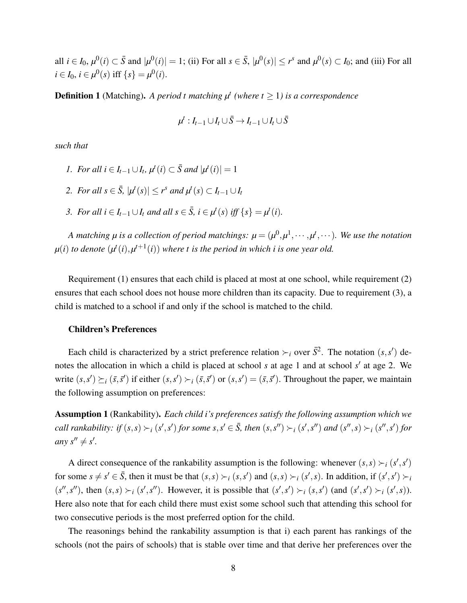all  $i \in I_0$ ,  $\mu^0(i) \subset \bar{S}$  and  $|\mu^0(i)| = 1$ ; (ii) For all  $s \in \bar{S}$ ,  $|\mu^0(s)| \leq r^s$  and  $\mu^0(s) \subset I_0$ ; and (iii) For all  $i \in I_0$ ,  $i \in \mu^0(s)$  iff  $\{s\} = \mu^0(i)$ .

**Definition 1** (Matching). A period t matching  $\mu^t$  (where  $t \geq 1$ ) is a correspondence

$$
\mu^t: I_{t-1}\cup I_t\cup \bar{S}\to I_{t-1}\cup I_t\cup \bar{S}
$$

*such that*

- *1. For all*  $i \in I_{t-1} \cup I_t$ ,  $\mu^t(i) \subset \overline{S}$  and  $|\mu^t(i)| = 1$
- 2. For all  $s \in \overline{S}$ ,  $|\mu^t(s)| \leq r^s$  and  $\mu^t(s) \subset I_{t-1} \cup I_t$
- *3. For all*  $i \in I_{t-1} \cup I_t$  *and all*  $s \in \overline{S}$ ,  $i \in \mu^t(s)$  *iff*  $\{s\} = \mu^t(i)$ *.*

*A matching*  $\mu$  *is a collection of period matchings:*  $\mu = (\mu^0, \mu^1, \cdots, \mu^t, \cdots)$ *. We use the notation*  $\mu(i)$  *to denote*  $(\mu^t(i), \mu^{t+1}(i))$  where t is the period in which i is one year old.

Requirement (1) ensures that each child is placed at most at one school, while requirement (2) ensures that each school does not house more children than its capacity. Due to requirement (3), a child is matched to a school if and only if the school is matched to the child.

#### Children's Preferences

Each child is characterized by a strict preference relation  $\succ_i$  over  $\bar{S}^2$ . The notation  $(s, s')$  denotes the allocation in which a child is placed at school *s* at age 1 and at school *s'* at age 2. We write  $(s, s') \succeq_i (\bar{s}, \bar{s}')$  if either  $(s, s') \succ_i (\bar{s}, \bar{s}')$  or  $(s, s') = (\bar{s}, \bar{s}')$ . Throughout the paper, we maintain the following assumption on preferences:

Assumption 1 (Rankability). *Each child i's preferences satisfy the following assumption which we* call rankability: if  $(s, s) \succ_i (s', s')$  for some  $s, s' \in \overline{S}$ , then  $(s, s'') \succ_i (s', s'')$  and  $(s'', s) \succ_i (s'', s')$  for *any*  $s'' \neq s'$ .

A direct consequence of the rankability assumption is the following: whenever  $(s, s) \succ_i (s', s')$ for some  $s \neq s' \in \overline{S}$ , then it must be that  $(s, s) \succ_i (s, s')$  and  $(s, s) \succ_i (s', s)$ . In addition, if  $(s', s') \succ_i$  $(s'', s'')$ , then  $(s, s) \succ_i (s', s'')$ . However, it is possible that  $(s', s') \succ_i (s, s')$  (and  $(s', s') \succ_i (s', s)$ ). Here also note that for each child there must exist some school such that attending this school for two consecutive periods is the most preferred option for the child.

The reasonings behind the rankability assumption is that i) each parent has rankings of the schools (not the pairs of schools) that is stable over time and that derive her preferences over the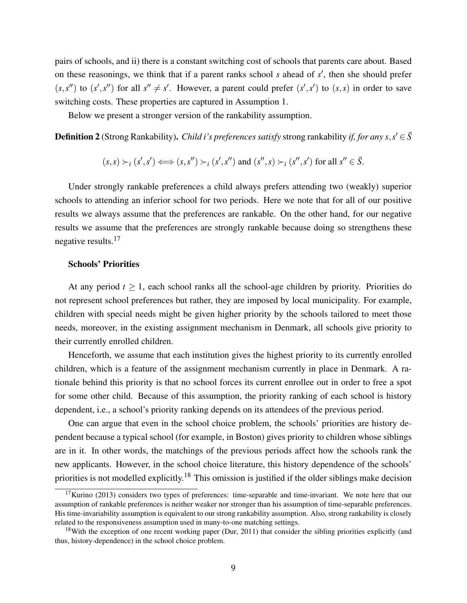pairs of schools, and ii) there is a constant switching cost of schools that parents care about. Based on these reasonings, we think that if a parent ranks school *s* ahead of *s'*, then she should prefer  $(s, s'')$  to  $(s', s'')$  for all  $s'' \neq s'$ . However, a parent could prefer  $(s', s')$  to  $(s, s)$  in order to save switching costs. These properties are captured in Assumption 1.

Below we present a stronger version of the rankability assumption.

**Definition 2** (Strong Rankability). *Child i's preferences satisfy* strong rankability *if, for any s*,  $s' \in \bar{S}$ 

$$
(s,s) \succ_i (s',s') \iff (s,s'') \succ_i (s',s'')
$$
 and  $(s'',s) \succ_i (s'',s')$  for all  $s'' \in \overline{S}$ .

Under strongly rankable preferences a child always prefers attending two (weakly) superior schools to attending an inferior school for two periods. Here we note that for all of our positive results we always assume that the preferences are rankable. On the other hand, for our negative results we assume that the preferences are strongly rankable because doing so strengthens these negative results.<sup>17</sup>

#### Schools' Priorities

At any period  $t > 1$ , each school ranks all the school-age children by priority. Priorities do not represent school preferences but rather, they are imposed by local municipality. For example, children with special needs might be given higher priority by the schools tailored to meet those needs, moreover, in the existing assignment mechanism in Denmark, all schools give priority to their currently enrolled children.

Henceforth, we assume that each institution gives the highest priority to its currently enrolled children, which is a feature of the assignment mechanism currently in place in Denmark. A rationale behind this priority is that no school forces its current enrollee out in order to free a spot for some other child. Because of this assumption, the priority ranking of each school is history dependent, i.e., a school's priority ranking depends on its attendees of the previous period.

One can argue that even in the school choice problem, the schools' priorities are history dependent because a typical school (for example, in Boston) gives priority to children whose siblings are in it. In other words, the matchings of the previous periods affect how the schools rank the new applicants. However, in the school choice literature, this history dependence of the schools' priorities is not modelled explicitly.<sup>18</sup> This omission is justified if the older siblings make decision

 $17$ Kurino (2013) considers two types of preferences: time-separable and time-invariant. We note here that our assumption of rankable preferences is neither weaker nor stronger than his assumption of time-separable preferences. His time-invariability assumption is equivalent to our strong rankability assumption. Also, strong rankability is closely related to the responsiveness assumption used in many-to-one matching settings.

<sup>&</sup>lt;sup>18</sup>With the exception of one recent working paper (Dur, 2011) that consider the sibling priorities explicitly (and thus, history-dependence) in the school choice problem.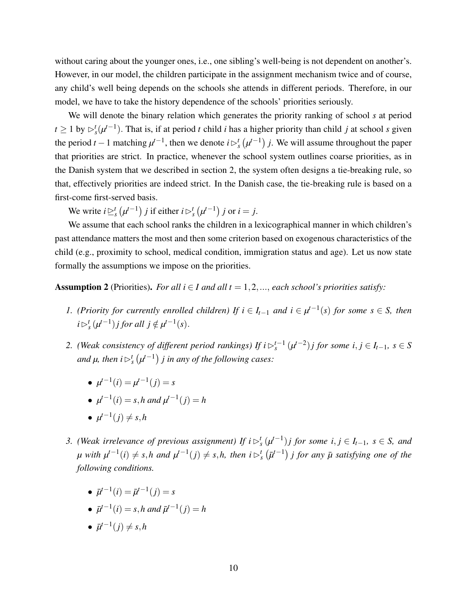without caring about the younger ones, i.e., one sibling's well-being is not dependent on another's. However, in our model, the children participate in the assignment mechanism twice and of course, any child's well being depends on the schools she attends in different periods. Therefore, in our model, we have to take the history dependence of the schools' priorities seriously.

We will denote the binary relation which generates the priority ranking of school *s* at period  $t \ge 1$  by  $\triangleright^t_s(\mu^{t-1})$ . That is, if at period *t* child *i* has a higher priority than child *j* at school *s* given the period *t* − 1 matching  $\mu^{t-1}$ , then we denote  $i \rhd s$   $(\mu^{t-1})$  *j*. We will assume throughout the paper that priorities are strict. In practice, whenever the school system outlines coarse priorities, as in the Danish system that we described in section 2, the system often designs a tie-breaking rule, so that, effectively priorities are indeed strict. In the Danish case, the tie-breaking rule is based on a first-come first-served basis.

We write  $i \trianglerighteq_s^t (\mu^{t-1}) j$  if either  $i \triangleright_s^t (\mu^{t-1}) j$  or  $i = j$ .

We assume that each school ranks the children in a lexicographical manner in which children's past attendance matters the most and then some criterion based on exogenous characteristics of the child (e.g., proximity to school, medical condition, immigration status and age). Let us now state formally the assumptions we impose on the priorities.

#### **Assumption 2** (Priorities). *For all i*  $\in$  *I and all t* = 1,2,..., *each school's priorities satisfy:*

- *1.* (*Priority for currently enrolled children) If*  $i \in I_{t-1}$  *and*  $i \in \mu^{t-1}(s)$  *for some s ∈ S, then*  $i \rhd_s^t (\mu^{t-1})$ *j* for all  $j \notin \mu^{t-1}(s)$ .
- *2.* (Weak consistency of different period rankings) If  $i$   $\triangleright$ <sup>t</sup><sub>s</sub><sup>*t*−1</sup> ( $\mu$ <sup>*t*−2</sup>) *j* for some  $i, j$  ∈  $I$ <sub>*t*−1</sub>,  $s$  ∈ S and  $\mu$ , then  $i \rhd_s^t (\mu^{t-1})$   $j$  in any of the following cases:
	- $\mu^{t-1}(i) = \mu^{t-1}(j) = s$
	- $\bullet$   $\mu^{t-1}(i) = s, h$  and  $\mu^{t-1}(j) = h$
	- $\mu^{t-1}(j) \neq s, h$
- *3.* (Weak irrelevance of previous assignment) If  $i \rhd_s^t (\mu^{t-1})j$  for some  $i, j \in I_{t-1}, s \in S$ , and *µ* with  $\mu^{t-1}(i)$  ≠ *s*,*h* and  $\mu^{t-1}(j)$  ≠ *s*,*h*, then  $i \triangleright_s^t (\bar{\mu}^{t-1})$  *j* for any  $\bar{\mu}$  satisfying one of the *following conditions.*
	- $\bar{\mu}^{t-1}(i) = \bar{\mu}^{t-1}(j) = s$
	- $\bar{\mu}^{t-1}(i) = s, h \text{ and } \bar{\mu}^{t-1}(j) = h$
	- $\bar{\mu}^{t-1}(j) \neq s, h$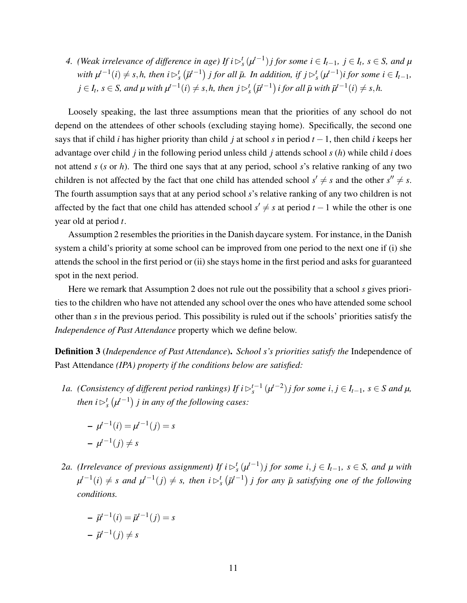*4.* (Weak irrelevance of difference in age) If  $i \rhd_s^t (\mu^{t-1})$  *j* for some  $i \in I_{t-1}$ ,  $j \in I_t$ ,  $s \in S$ , and  $\mu$ with  $\mu^{t-1}(i) \neq s,h$ , then  $i \rhd_s^t (\bar{\mu}^{t-1})$  j for all  $\bar{\mu}$ . In addition, if  $j \rhd_s^t (\mu^{t-1})$ i for some  $i \in I_{t-1}$ ,  $j \in I_t$ ,  $s \in S$ , and  $\mu$  with  $\mu^{t-1}(i) \neq s$ , h, then  $j \rhd_s^t (\bar{\mu}^{t-1})$  i for all  $\bar{\mu}$  with  $\bar{\mu}^{t-1}(i) \neq s$ , h.

Loosely speaking, the last three assumptions mean that the priorities of any school do not depend on the attendees of other schools (excluding staying home). Specifically, the second one says that if child *i* has higher priority than child *j* at school *s* in period *t* −1, then child *i* keeps her advantage over child *j* in the following period unless child *j* attends school *s* (*h*) while child *i* does not attend *s* (*s* or *h*). The third one says that at any period, school *s*'s relative ranking of any two children is not affected by the fact that one child has attended school  $s' \neq s$  and the other  $s'' \neq s$ . The fourth assumption says that at any period school *s*'s relative ranking of any two children is not affected by the fact that one child has attended school  $s' \neq s$  at period  $t - 1$  while the other is one year old at period *t*.

Assumption 2 resembles the priorities in the Danish daycare system. For instance, in the Danish system a child's priority at some school can be improved from one period to the next one if (i) she attends the school in the first period or (ii) she stays home in the first period and asks for guaranteed spot in the next period.

Here we remark that Assumption 2 does not rule out the possibility that a school *s* gives priorities to the children who have not attended any school over the ones who have attended some school other than *s* in the previous period. This possibility is ruled out if the schools' priorities satisfy the *Independence of Past Attendance* property which we define below.

Definition 3 (*Independence of Past Attendance*). *School s's priorities satisfy the* Independence of Past Attendance *(IPA) property if the conditions below are satisfied:*

*1a.* (Consistency of different period rankings) If  $i \triangleright_s^{t-1} (\mu^{t-2})$  *j* for some *i*, *j* ∈ *I*<sub>t−1</sub>, *s* ∈ *S* and  $\mu$ , *then i* $\triangleright_s^t$   $(\mu^{t-1})$  *j in any of the following cases:* 

$$
- \mu^{t-1}(i) = \mu^{t-1}(j) = s
$$
  

$$
- \mu^{t-1}(j) \neq s
$$

2*a.* (Irrelevance of previous assignment) If  $i$  ⊳<sup>t</sup><sub>s</sub></sub> ( $μ$ <sup>*t*−1</sup>) *j* for some  $i, j$  ∈  $I$ <sub>*t*−1</sub>,  $s$  ∈ S, and  $μ$  with  $\mu^{t-1}(i) \neq s$  and  $\mu^{t-1}(j) \neq s$ , then  $i \rhd_s^t (\bar{\mu}^{t-1})$  *j* for any  $\bar{\mu}$  satisfying one of the following *conditions.*

- 
$$
\bar{\mu}^{t-1}(i) = \bar{\mu}^{t-1}(j) = s
$$
  
-  $\bar{\mu}^{t-1}(j) \neq s$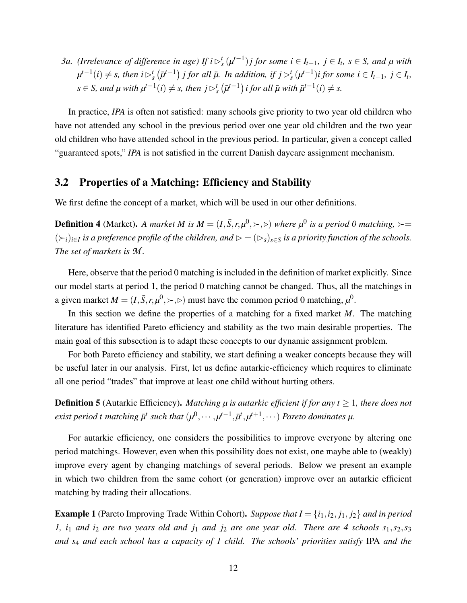*3a.* (Irrelevance of difference in age) If  $i \rhd_s^t (\mu^{t-1})j$  for some  $i \in I_{t-1}, j \in I_t$ ,  $s \in S$ , and  $\mu$  with  $\mu^{t-1}(i) \neq s$ , then  $i \rhd_s^t (\bar{\mu}^{t-1})$  j for all  $\bar{\mu}$ . In addition, if  $j \rhd_s^t (\mu^{t-1})$ i for some  $i \in I_{t-1}$ ,  $j \in I_t$ ,  $s \in S$ , and  $\mu$  with  $\mu^{t-1}(i) \neq s$ , then  $j \rhd_s^t (\bar{\mu}^{t-1})$  i for all  $\bar{\mu}$  with  $\bar{\mu}^{t-1}(i) \neq s$ .

In practice, *IPA* is often not satisfied: many schools give priority to two year old children who have not attended any school in the previous period over one year old children and the two year old children who have attended school in the previous period. In particular, given a concept called "guaranteed spots," *IPA* is not satisfied in the current Danish daycare assignment mechanism.

#### 3.2 Properties of a Matching: Efficiency and Stability

We first define the concept of a market, which will be used in our other definitions.

**Definition 4** (Market). *A market M is M* =  $(I, \bar{S}, r, \mu^0, \rangle, \rangle)$  *where*  $\mu^0$  *is a period 0 matching,*  $\succ$  =  $(\succ_i)_{i \in I}$  *is a preference profile of the children, and*  $\triangleright = (\triangleright_s)_{s \in S}$  *is a priority function of the schools. The set of markets is M .*

Here, observe that the period 0 matching is included in the definition of market explicitly. Since our model starts at period 1, the period 0 matching cannot be changed. Thus, all the matchings in a given market  $M = (I, \bar{S}, r, \mu^0, \rangle, \rho)$  must have the common period 0 matching,  $\mu^0$ .

In this section we define the properties of a matching for a fixed market *M*. The matching literature has identified Pareto efficiency and stability as the two main desirable properties. The main goal of this subsection is to adapt these concepts to our dynamic assignment problem.

For both Pareto efficiency and stability, we start defining a weaker concepts because they will be useful later in our analysis. First, let us define autarkic-efficiency which requires to eliminate all one period "trades" that improve at least one child without hurting others.

**Definition 5** (Autarkic Efficiency). *Matching*  $\mu$  *is autarkic efficient if for any*  $t \geq 1$ *, there does not*  $e$ xist period  $t$  matching  $\bar{\mu}^t$  such that  $(\mu^0, \cdots, \mu^{t-1}, \bar{\mu}^t, \mu^{t+1}, \cdots)$  Pareto dominates  $\mu$ .

For autarkic efficiency, one considers the possibilities to improve everyone by altering one period matchings. However, even when this possibility does not exist, one maybe able to (weakly) improve every agent by changing matchings of several periods. Below we present an example in which two children from the same cohort (or generation) improve over an autarkic efficient matching by trading their allocations.

**Example 1** (Pareto Improving Trade Within Cohort). Suppose that  $I = \{i_1, i_2, j_1, j_2\}$  and in period *1,*  $i_1$  *and*  $i_2$  *are two years old and*  $j_1$  *and*  $j_2$  *are one year old. There are 4 schools*  $s_1$ *,* $s_2$ *,* $s_3$ *and s*<sup>4</sup> *and each school has a capacity of 1 child. The schools' priorities satisfy* IPA *and the*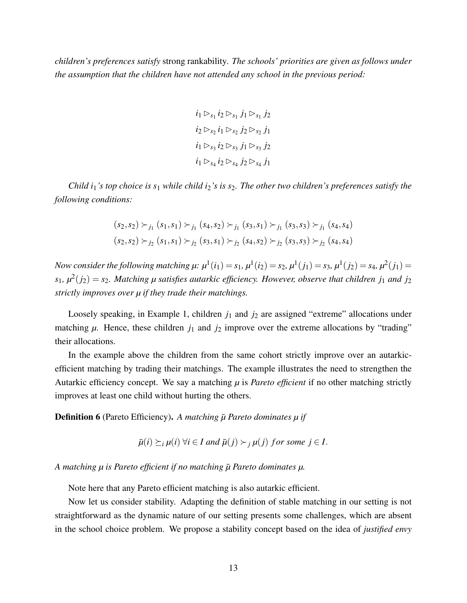*children's preferences satisfy* strong rankability*. The schools' priorities are given as follows under the assumption that the children have not attended any school in the previous period:*

$$
i_1 \rhd_{s_1} i_2 \rhd_{s_1} j_1 \rhd_{s_1} j_2
$$
  
\n
$$
i_2 \rhd_{s_2} i_1 \rhd_{s_2} j_2 \rhd_{s_2} j_1
$$
  
\n
$$
i_1 \rhd_{s_3} i_2 \rhd_{s_3} j_1 \rhd_{s_3} j_2
$$
  
\n
$$
i_1 \rhd_{s_4} i_2 \rhd_{s_4} j_2 \rhd_{s_4} j_1
$$

*Child i*1*'s top choice is s*<sup>1</sup> *while child i*2*'s is s*2*. The other two children's preferences satisfy the following conditions:*

$$
(s_2, s_2) \succ_{j_1} (s_1, s_1) \succ_{j_1} (s_4, s_2) \succ_{j_1} (s_3, s_1) \succ_{j_1} (s_3, s_3) \succ_{j_1} (s_4, s_4)
$$
  

$$
(s_2, s_2) \succ_{j_2} (s_1, s_1) \succ_{j_2} (s_3, s_1) \succ_{j_2} (s_4, s_2) \succ_{j_2} (s_3, s_3) \succ_{j_2} (s_4, s_4)
$$

*Now consider the following matching*  $\mu$ *:*  $\mu^1(i_1) = s_1$ ,  $\mu^1(i_2) = s_2$ ,  $\mu^1(j_1) = s_3$ ,  $\mu^1(j_2) = s_4$ ,  $\mu^2(j_1) =$  $s_1$ ,  $\mu^2(j_2) = s_2$ . Matching  $\mu$  satisfies autarkic efficiency. However, observe that children  $j_1$  and  $j_2$ *strictly improves over µ if they trade their matchings.*

Loosely speaking, in Example 1, children  $j_1$  and  $j_2$  are assigned "extreme" allocations under matching  $\mu$ . Hence, these children  $j_1$  and  $j_2$  improve over the extreme allocations by "trading" their allocations.

In the example above the children from the same cohort strictly improve over an autarkicefficient matching by trading their matchings. The example illustrates the need to strengthen the Autarkic efficiency concept. We say a matching  $\mu$  is *Pareto efficient* if no other matching strictly improves at least one child without hurting the others.

**Definition 6** (Pareto Efficiency). A matching  $\bar{\mu}$  Pareto dominates  $\mu$  if

$$
\bar{\mu}(i) \succeq_i \mu(i) \ \forall i \in I \ and \ \bar{\mu}(j) \succ_j \mu(j) \ for \ some \ j \in I.
$$

*A matching μ is Pareto efficient if no matching μ Pareto dominates μ.* 

Note here that any Pareto efficient matching is also autarkic efficient.

Now let us consider stability. Adapting the definition of stable matching in our setting is not straightforward as the dynamic nature of our setting presents some challenges, which are absent in the school choice problem. We propose a stability concept based on the idea of *justified envy*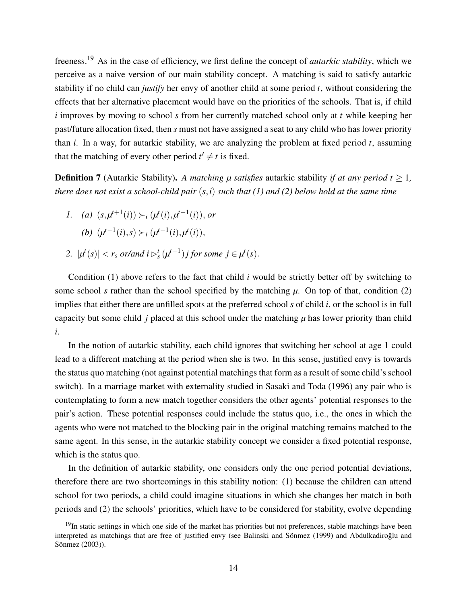freeness.<sup>19</sup> As in the case of efficiency, we first define the concept of *autarkic stability*, which we perceive as a naive version of our main stability concept. A matching is said to satisfy autarkic stability if no child can *justify* her envy of another child at some period *t*, without considering the effects that her alternative placement would have on the priorities of the schools. That is, if child *i* improves by moving to school *s* from her currently matched school only at *t* while keeping her past/future allocation fixed, then *s* must not have assigned a seat to any child who has lower priority than *i*. In a way, for autarkic stability, we are analyzing the problem at fixed period *t*, assuming that the matching of every other period  $t' \neq t$  is fixed.

**Definition 7** (Autarkic Stability). A matching  $\mu$  satisfies autarkic stability *if at any period t*  $\geq 1$ , *there does not exist a school-child pair* (*s*,*i*) *such that (1) and (2) below hold at the same time*

- *I.* (*a*)  $(s, \mu^{t+1}(i)) \succ_i (\mu^t(i), \mu^{t+1}(i)),$  *or* (*b*)  $(\mu^{t-1}(i), s)$   $\succ_i (\mu^{t-1}(i), \mu^{t}(i)),$
- 2.  $|\mu^t(s)| < r_s$  *or/and*  $i \rhd_s^t (\mu^{t-1})$  *j* for some  $j \in \mu^t(s)$ .

Condition (1) above refers to the fact that child *i* would be strictly better off by switching to some school *s* rather than the school specified by the matching  $\mu$ . On top of that, condition (2) implies that either there are unfilled spots at the preferred school *s* of child *i*, or the school is in full capacity but some child *j* placed at this school under the matching  $\mu$  has lower priority than child *i*.

In the notion of autarkic stability, each child ignores that switching her school at age 1 could lead to a different matching at the period when she is two. In this sense, justified envy is towards the status quo matching (not against potential matchings that form as a result of some child's school switch). In a marriage market with externality studied in Sasaki and Toda (1996) any pair who is contemplating to form a new match together considers the other agents' potential responses to the pair's action. These potential responses could include the status quo, i.e., the ones in which the agents who were not matched to the blocking pair in the original matching remains matched to the same agent. In this sense, in the autarkic stability concept we consider a fixed potential response, which is the status quo.

In the definition of autarkic stability, one considers only the one period potential deviations, therefore there are two shortcomings in this stability notion: (1) because the children can attend school for two periods, a child could imagine situations in which she changes her match in both periods and (2) the schools' priorities, which have to be considered for stability, evolve depending

 $19$ In static settings in which one side of the market has priorities but not preferences, stable matchings have been interpreted as matchings that are free of justified envy (see Balinski and Sönmez (1999) and Abdulkadiroğlu and Sönmez (2003)).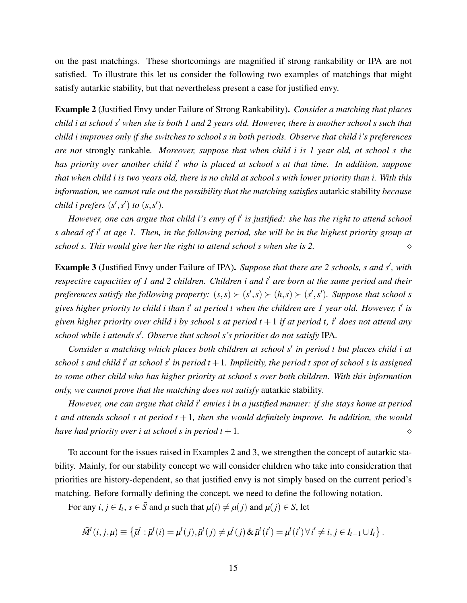on the past matchings. These shortcomings are magnified if strong rankability or IPA are not satisfied. To illustrate this let us consider the following two examples of matchings that might satisfy autarkic stability, but that nevertheless present a case for justified envy.

Example 2 (Justified Envy under Failure of Strong Rankability). *Consider a matching that places child i at school s' when she is both 1 and 2 years old. However, there is another school s such that child i improves only if she switches to school s in both periods. Observe that child i's preferences are not* strongly rankable*. Moreover, suppose that when child i is 1 year old, at school s she has priority over another child i' who is placed at school s at that time. In addition, suppose that when child i is two years old, there is no child at school s with lower priority than i. With this information, we cannot rule out the possibility that the matching satisfies* autarkic stability *because child i prefers*  $(s', s')$  *to*  $(s, s')$ *.* 

However, one can argue that child i's envy of i<sup>t</sup> is justified: she has the right to attend school *s ahead of i*<sup>0</sup> *at age 1. Then, in the following period, she will be in the highest priority group at school s. This would give her the right to attend school s when she is 2.*

**Example 3** (Justified Envy under Failure of IPA). Suppose that there are 2 schools, s and s', with *respective capacities of 1 and 2 children. Children i and i' are born at the same period and their preferences satisfy the following property:*  $(s, s) \succ (s', s) \succ (h, s) \succ (s', s')$ . Suppose that school s gives higher priority to child i than i<sup>t</sup> at period t when the children are 1 year old. However, i<sup>t</sup> is *given higher priority over child i by school s at period t* + 1 *if at period t, i' does not attend any* school while *i* attends s'. Observe that school s's priorities do not satisfy IPA.

*Consider a matching which places both children at school s' in period t but places child i at school s and child i*<sup>0</sup> *at school s*<sup>0</sup> *in period t* +1*. Implicitly, the period t spot of school s is assigned to some other child who has higher priority at school s over both children. With this information only, we cannot prove that the matching does not satisfy* autarkic stability*.*

However, one can argue that child i<sup>t</sup> envies i in a justified manner: if she stays home at period *t and attends school s at period t* + 1*, then she would definitely improve. In addition, she would have had priority over i at school s in period t*  $+1$ *.* 

To account for the issues raised in Examples 2 and 3, we strengthen the concept of autarkic stability. Mainly, for our stability concept we will consider children who take into consideration that priorities are history-dependent, so that justified envy is not simply based on the current period's matching. Before formally defining the concept, we need to define the following notation.

For any  $i, j \in I_t$ ,  $s \in \overline{S}$  and  $\mu$  such that  $\mu(i) \neq \mu(j)$  and  $\mu(j) \in S$ , let

$$
\bar{M}^{t}(i, j, \mu) \equiv \left\{ \bar{\mu}^{t} : \bar{\mu}^{t}(i) = \mu^{t}(j), \bar{\mu}^{t}(j) \neq \mu^{t}(j) \& \bar{\mu}^{t}(i') = \mu^{t}(i') \forall i' \neq i, j \in I_{t-1} \cup I_{t} \right\}.
$$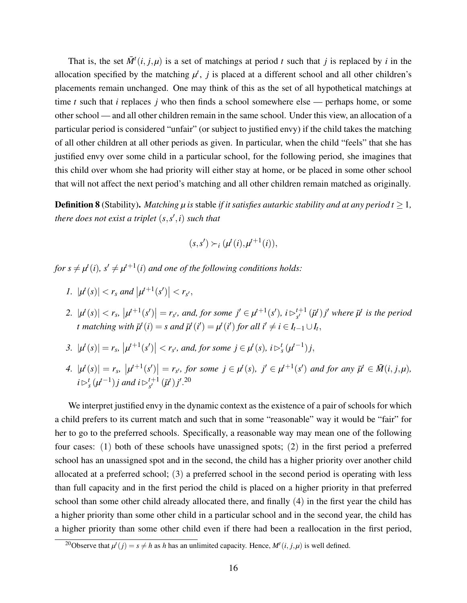That is, the set  $\bar{M}^t(i, j, \mu)$  is a set of matchings at period *t* such that *j* is replaced by *i* in the allocation specified by the matching  $\mu^t$ , *j* is placed at a different school and all other children's placements remain unchanged. One may think of this as the set of all hypothetical matchings at time *t* such that *i* replaces *j* who then finds a school somewhere else — perhaps home, or some other school — and all other children remain in the same school. Under this view, an allocation of a particular period is considered "unfair" (or subject to justified envy) if the child takes the matching of all other children at all other periods as given. In particular, when the child "feels" that she has justified envy over some child in a particular school, for the following period, she imagines that this child over whom she had priority will either stay at home, or be placed in some other school that will not affect the next period's matching and all other children remain matched as originally.

**Definition 8** (Stability). *Matching*  $\mu$  *is stable if it satisfies autarkic stability and at any period t*  $\geq 1$ , *there does not exist a triplet*  $(s, s', i)$  *such that* 

$$
(s,s')\succ_i(\mu^t(i),\mu^{t+1}(i)),
$$

*for*  $s \neq \mu^t(i)$ ,  $s' \neq \mu^{t+1}(i)$  and one of the following conditions holds:

- *1.*  $|\mu^t(s)| < r_s$  and  $|\mu^{t+1}(s')| < r_{s'}$ ,
- 2.  $|\mu^{t}(s)| < r_{s}, |\mu^{t+1}(s')| = r_{s'},$  and, for some  $j' \in \mu^{t+1}(s'), i \rhd_{s'}^{t+1}$  $\int_{s'}^{t+1} (\bar{\mu}^t) j'$  where  $\bar{\mu}^t$  is the period *t* matching with  $\bar{\mu}^t(i) = s$  and  $\bar{\mu}^t(i') = \mu^t(i')$  for all  $i' \neq i \in I_{t-1} \cup I_t$ ,
- 3.  $|\mu^{t}(s)| = r_{s}, |\mu^{t+1}(s')| < r_{s'}$ , and, for some  $j \in \mu^{t}(s), i \rhd_{s}^{t} (\mu^{t-1})j$ ,
- 4.  $|\mu^{t}(s)| = r_{s}$ ,  $|\mu^{t+1}(s')| = r_{s'}$ , for some  $j \in \mu^{t}(s)$ ,  $j' \in \mu^{t+1}(s')$  and for any  $\bar{\mu}^{t} \in \bar{M}(i, j, \mu)$ ,  $i \rhd_s^t (\mu^{t-1}) j$  and  $i \rhd_{s'}^{t+1}$  $\int_{s'}^{t+1} (\bar{\mu}^t) j'$ .<sup>20</sup>

We interpret justified envy in the dynamic context as the existence of a pair of schools for which a child prefers to its current match and such that in some "reasonable" way it would be "fair" for her to go to the preferred schools. Specifically, a reasonable way may mean one of the following four cases: (1) both of these schools have unassigned spots; (2) in the first period a preferred school has an unassigned spot and in the second, the child has a higher priority over another child allocated at a preferred school; (3) a preferred school in the second period is operating with less than full capacity and in the first period the child is placed on a higher priority in that preferred school than some other child already allocated there, and finally (4) in the first year the child has a higher priority than some other child in a particular school and in the second year, the child has a higher priority than some other child even if there had been a reallocation in the first period,

<sup>&</sup>lt;sup>20</sup>Observe that  $\mu^{t}(j) = s \neq h$  as *h* has an unlimited capacity. Hence,  $M^{t}(i, j, \mu)$  is well defined.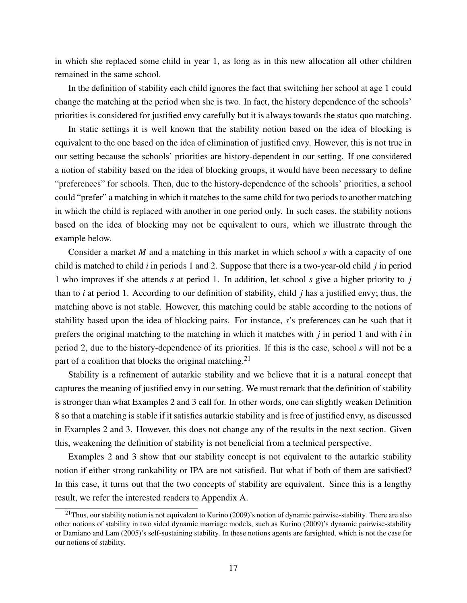in which she replaced some child in year 1, as long as in this new allocation all other children remained in the same school.

In the definition of stability each child ignores the fact that switching her school at age 1 could change the matching at the period when she is two. In fact, the history dependence of the schools' priorities is considered for justified envy carefully but it is always towards the status quo matching.

In static settings it is well known that the stability notion based on the idea of blocking is equivalent to the one based on the idea of elimination of justified envy. However, this is not true in our setting because the schools' priorities are history-dependent in our setting. If one considered a notion of stability based on the idea of blocking groups, it would have been necessary to define "preferences" for schools. Then, due to the history-dependence of the schools' priorities, a school could "prefer" a matching in which it matches to the same child for two periods to another matching in which the child is replaced with another in one period only. In such cases, the stability notions based on the idea of blocking may not be equivalent to ours, which we illustrate through the example below.

Consider a market *M* and a matching in this market in which school *s* with a capacity of one child is matched to child *i* in periods 1 and 2. Suppose that there is a two-year-old child *j* in period 1 who improves if she attends *s* at period 1. In addition, let school *s* give a higher priority to *j* than to *i* at period 1. According to our definition of stability, child *j* has a justified envy; thus, the matching above is not stable. However, this matching could be stable according to the notions of stability based upon the idea of blocking pairs. For instance, *s*'s preferences can be such that it prefers the original matching to the matching in which it matches with *j* in period 1 and with *i* in period 2, due to the history-dependence of its priorities. If this is the case, school *s* will not be a part of a coalition that blocks the original matching.<sup>21</sup>

Stability is a refinement of autarkic stability and we believe that it is a natural concept that captures the meaning of justified envy in our setting. We must remark that the definition of stability is stronger than what Examples 2 and 3 call for. In other words, one can slightly weaken Definition 8 so that a matching is stable if it satisfies autarkic stability and is free of justified envy, as discussed in Examples 2 and 3. However, this does not change any of the results in the next section. Given this, weakening the definition of stability is not beneficial from a technical perspective.

Examples 2 and 3 show that our stability concept is not equivalent to the autarkic stability notion if either strong rankability or IPA are not satisfied. But what if both of them are satisfied? In this case, it turns out that the two concepts of stability are equivalent. Since this is a lengthy result, we refer the interested readers to Appendix A.

 $^{21}$ Thus, our stability notion is not equivalent to Kurino (2009)'s notion of dynamic pairwise-stability. There are also other notions of stability in two sided dynamic marriage models, such as Kurino (2009)'s dynamic pairwise-stability or Damiano and Lam (2005)'s self-sustaining stability. In these notions agents are farsighted, which is not the case for our notions of stability.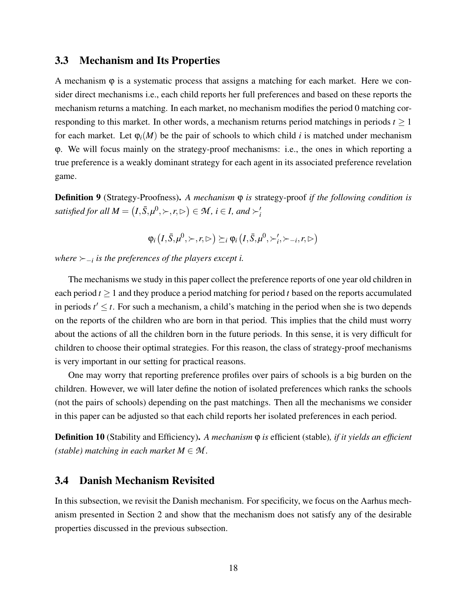### 3.3 Mechanism and Its Properties

A mechanism  $\varphi$  is a systematic process that assigns a matching for each market. Here we consider direct mechanisms i.e., each child reports her full preferences and based on these reports the mechanism returns a matching. In each market, no mechanism modifies the period 0 matching corresponding to this market. In other words, a mechanism returns period matchings in periods  $t \geq 1$ for each market. Let  $\varphi_i(M)$  be the pair of schools to which child *i* is matched under mechanism ϕ. We will focus mainly on the strategy-proof mechanisms: i.e., the ones in which reporting a true preference is a weakly dominant strategy for each agent in its associated preference revelation game.

Definition 9 (Strategy-Proofness). *A mechanism* ϕ *is* strategy-proof *if the following condition is* satisfied for all  $M = (I, \bar{S}, \mu^0, \succ, r, \rhd) \in M$ ,  $i \in I$ , and  $\succ_i'$ 

$$
\varphi_i\left(I,\bar{S},\mu^0,\succ,r,\rhd\right)\succeq_i \varphi_i\left(I,\bar{S},\mu^0,\succ'_i,\succ_{-i},r,\rhd\right)
$$

*where* <sup>−</sup>*<sup>i</sup> is the preferences of the players except i.*

The mechanisms we study in this paper collect the preference reports of one year old children in each period *t* ≥ 1 and they produce a period matching for period *t* based on the reports accumulated in periods  $t' \leq t$ . For such a mechanism, a child's matching in the period when she is two depends on the reports of the children who are born in that period. This implies that the child must worry about the actions of all the children born in the future periods. In this sense, it is very difficult for children to choose their optimal strategies. For this reason, the class of strategy-proof mechanisms is very important in our setting for practical reasons.

One may worry that reporting preference profiles over pairs of schools is a big burden on the children. However, we will later define the notion of isolated preferences which ranks the schools (not the pairs of schools) depending on the past matchings. Then all the mechanisms we consider in this paper can be adjusted so that each child reports her isolated preferences in each period.

Definition 10 (Stability and Efficiency). *A mechanism* ϕ *is* efficient (stable)*, if it yields an efficient (stable)* matching in each market  $M \in \mathcal{M}$ .

### 3.4 Danish Mechanism Revisited

In this subsection, we revisit the Danish mechanism. For specificity, we focus on the Aarhus mechanism presented in Section 2 and show that the mechanism does not satisfy any of the desirable properties discussed in the previous subsection.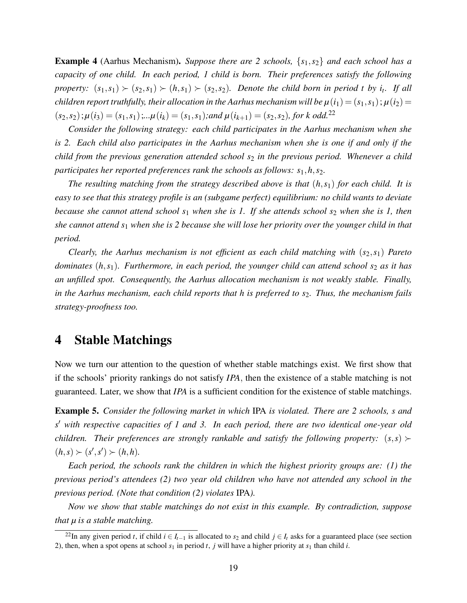Example 4 (Aarhus Mechanism). *Suppose there are 2 schools,* {*s*1,*s*2} *and each school has a capacity of one child. In each period, 1 child is born. Their preferences satisfy the following property:*  $(s_1, s_1) \succ (s_2, s_1) \succ (h, s_1) \succ (s_2, s_2)$ . Denote the child born in period t by  $i_t$ . If all *children report truthfully, their allocation in the Aarhus mechanism will be*  $\mu(i_1) = (s_1, s_1)$ ;  $\mu(i_2) =$  $(s_2, s_2); \mu(i_3) = (s_1, s_1); \ldots, \mu(i_k) = (s_1, s_1);$  and  $\mu(i_{k+1}) = (s_2, s_2)$ , for k odd.<sup>22</sup>

*Consider the following strategy: each child participates in the Aarhus mechanism when she is 2. Each child also participates in the Aarhus mechanism when she is one if and only if the child from the previous generation attended school s*<sup>2</sup> *in the previous period. Whenever a child participates her reported preferences rank the schools as follows: s*1,*h*,*s*2*.*

*The resulting matching from the strategy described above is that* (*h*,*s*1) *for each child. It is easy to see that this strategy profile is an (subgame perfect) equilibrium: no child wants to deviate because she cannot attend school s*<sup>1</sup> *when she is 1. If she attends school s*<sup>2</sup> *when she is 1, then she cannot attend s*<sup>1</sup> *when she is 2 because she will lose her priority over the younger child in that period.*

*Clearly, the Aarhus mechanism is not efficient as each child matching with* (*s*2,*s*1) *Pareto dominates*  $(h, s_1)$ *. Furthermore, in each period, the younger child can attend school s<sub>2</sub> <i>as it has an unfilled spot. Consequently, the Aarhus allocation mechanism is not weakly stable. Finally, in the Aarhus mechanism, each child reports that h is preferred to s*2*. Thus, the mechanism fails strategy-proofness too.*

### 4 Stable Matchings

Now we turn our attention to the question of whether stable matchings exist. We first show that if the schools' priority rankings do not satisfy *IPA*, then the existence of a stable matching is not guaranteed. Later, we show that *IPA* is a sufficient condition for the existence of stable matchings.

Example 5. *Consider the following market in which* IPA *is violated. There are 2 schools, s and s* <sup>0</sup> *with respective capacities of 1 and 3. In each period, there are two identical one-year old children. Their preferences are strongly rankable and satisfy the following property:*  $(s, s)$   $\succ$  $(h, s) \succ (s', s') \succ (h, h).$ 

*Each period, the schools rank the children in which the highest priority groups are: (1) the previous period's attendees (2) two year old children who have not attended any school in the previous period. (Note that condition (2) violates* IPA*).*

*Now we show that stable matchings do not exist in this example. By contradiction, suppose that µ is a stable matching.*

<sup>&</sup>lt;sup>22</sup>In any given period *t*, if child  $i \in I_{t-1}$  is allocated to  $s_2$  and child  $j \in I_t$  asks for a guaranteed place (see section 2), then, when a spot opens at school  $s_1$  in period  $t$ , *j* will have a higher priority at  $s_1$  than child *i*.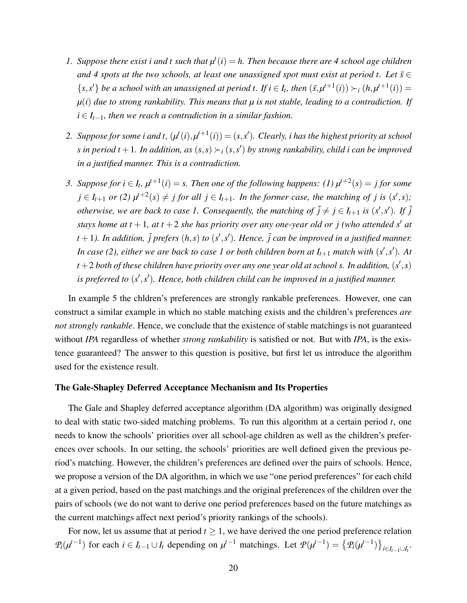- *1. Suppose there exist i and t such that*  $\mu^t(i) = h$ . Then because there are 4 school age children *and 4 spots at the two schools, at least one unassigned spot must exist at period t. Let*  $\bar{s} \in$  $\{s, s'\}$  be a school with an unassigned at period t. If  $i \in I_t$ , then  $(\bar{s}, \mu^{t+1}(i)) \succ_i (h, \mu^{t+1}(i)) =$  $\mu(i)$  *due to strong rankability. This means that*  $\mu$  *is not stable, leading to a contradiction. If i* ∈  $I$ <sub>*t*−1</sub>*, then we reach a contradiction in a similar fashion.*
- 2. Suppose for some i and t,  $(\mu^t(i), \mu^{t+1}(i)) = (s, s')$ . Clearly, i has the highest priority at school *s* in period  $t + 1$ . In addition, as  $(s, s) \succ_i (s, s')$  by strong rankability, child i can be improved *in a justified manner. This is a contradiction.*
- *3. Suppose for*  $i \in I_t$ ,  $\mu^{t+1}(i) = s$ . Then one of the following happens: (1)  $\mu^{t+2}(s) = j$  for some  $j \in I_{t+1}$  or (2)  $\mu^{t+2}(s) \neq j$  for all  $j \in I_{t+1}$ . In the former case, the matching of j is  $(s', s)$ ; *otherwise, we are back to case 1. Consequently, the matching of*  $\bar{j} \neq j \in I_{t+1}$  *is*  $(s', s')$ *. If*  $\bar{j}$ *stays home at t* + 1, *at t* + 2 *she has priority over any one-year old or j (who attended s' at*  $t + 1$ ). In addition,  $\bar{j}$  prefers  $(h, s)$  to  $(s', s')$ . Hence,  $\bar{j}$  can be improved in a justified manner. *In case (2), either we are back to case 1 or both children born at*  $I_{t+1}$  *<i>match with*  $(s', s')$ *. At*  $t + 2$  *both of these children have priority over any one year old at school s. In addition,*  $(s', s)$ is preferred to  $(s', s')$ . Hence, both children child can be improved in a justified manner.

In example 5 the chldren's preferences are strongly rankable preferences. However, one can construct a similar example in which no stable matching exists and the children's preferences *are not strongly rankable*. Hence, we conclude that the existence of stable matchings is not guaranteed without *IPA* regardless of whether *strong rankability* is satisfied or not. But with *IPA*, is the existence guaranteed? The answer to this question is positive, but first let us introduce the algorithm used for the existence result.

#### The Gale-Shapley Deferred Acceptance Mechanism and Its Properties

The Gale and Shapley deferred acceptance algorithm (DA algorithm) was originally designed to deal with static two-sided matching problems. To run this algorithm at a certain period *t*, one needs to know the schools' priorities over all school-age children as well as the children's preferences over schools. In our setting, the schools' priorities are well defined given the previous period's matching. However, the children's preferences are defined over the pairs of schools. Hence, we propose a version of the DA algorithm, in which we use "one period preferences" for each child at a given period, based on the past matchings and the original preferences of the children over the pairs of schools (we do not want to derive one period preferences based on the future matchings as the current matchings affect next period's priority rankings of the schools).

For now, let us assume that at period  $t \geq 1$ , we have derived the one period preference relation  $\mathcal{P}_i(\mu^{t-1})$  for each  $i \in I_{t-1} \cup I_t$  depending on  $\mu^{t-1}$  matchings. Let  $\mathcal{P}(\mu^{t-1}) = \left\{ \mathcal{P}_i(\mu^{t-1}) \right\}_{i \in I_{t-1} \cup I_t}$ .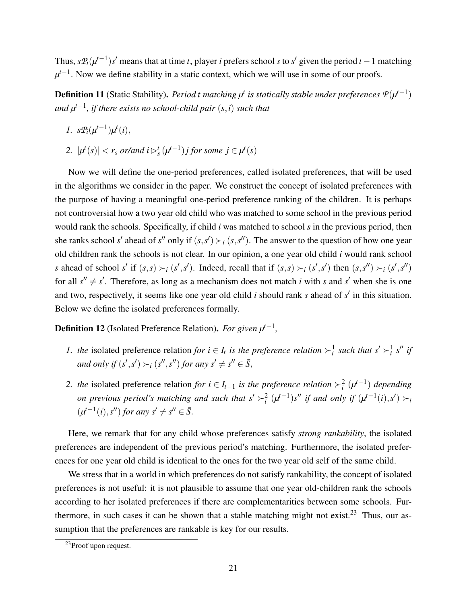Thus,  $sP_i(\mu^{t-1})s'$  means that at time *t*, player *i* prefers school *s* to *s'* given the period *t* − 1 matching  $\mu^{t-1}$ . Now we define stability in a static context, which we will use in some of our proofs.

**Definition 11** (Static Stability). *Period t matching*  $\mu^t$  *is statically stable under preferences*  $\mathcal{P}(\mu^{t-1})$ *and µt*−<sup>1</sup> *, if there exists no school-child pair* (*s*,*i*) *such that*

- *1.*  $sP_i(\mu^{t-1})\mu^t(i)$ ,
- 2.  $|\mu^t(s)| < r_s$  *or/and*  $i \rhd_s^t (\mu^{t-1})$  *j* for some  $j \in \mu^t(s)$

Now we will define the one-period preferences, called isolated preferences, that will be used in the algorithms we consider in the paper. We construct the concept of isolated preferences with the purpose of having a meaningful one-period preference ranking of the children. It is perhaps not controversial how a two year old child who was matched to some school in the previous period would rank the schools. Specifically, if child *i* was matched to school *s* in the previous period, then she ranks school *s'* ahead of *s''* only if  $(s, s') \succ_i (s, s'')$ . The answer to the question of how one year old children rank the schools is not clear. In our opinion, a one year old child *i* would rank school s ahead of school s' if  $(s, s) \succ_i (s', s')$ . Indeed, recall that if  $(s, s) \succ_i (s', s')$  then  $(s, s'') \succ_i (s', s'')$ for all  $s'' \neq s'$ . Therefore, as long as a mechanism does not match *i* with *s* and *s'* when she is one and two, respectively, it seems like one year old child *i* should rank *s* ahead of *s'* in this situation. Below we define the isolated preferences formally.

Definition 12 (Isolated Preference Relation). *For given µt*−<sup>1</sup> *,*

- *1. the* isolated preference relation *for*  $i \in I_t$  *is the preference relation*  $\succ_i^1$  *such that*  $s' \succ_i^1 s''$  *if and only if*  $(s', s') \succ_i (s'', s'')$  *for any*  $s' \neq s'' \in \overline{S}$ ,
- 2. the isolated preference relation *for*  $i \in I_{t-1}$  *is the preference relation*  $\succ_i^2 (\mu^{t-1})$  *depending* on previous period's matching and such that  $s' \succ_i^2 (\mu^{t-1}) s''$  if and only if  $(\mu^{t-1}(i), s') \succ_i$  $(\mu^{t-1}(i), s'')$  *for any*  $s' \neq s'' \in \overline{S}$ .

Here, we remark that for any child whose preferences satisfy *strong rankability*, the isolated preferences are independent of the previous period's matching. Furthermore, the isolated preferences for one year old child is identical to the ones for the two year old self of the same child.

We stress that in a world in which preferences do not satisfy rankability, the concept of isolated preferences is not useful: it is not plausible to assume that one year old-children rank the schools according to her isolated preferences if there are complementarities between some schools. Furthermore, in such cases it can be shown that a stable matching might not exist.<sup>23</sup> Thus, our assumption that the preferences are rankable is key for our results.

<sup>23</sup>Proof upon request.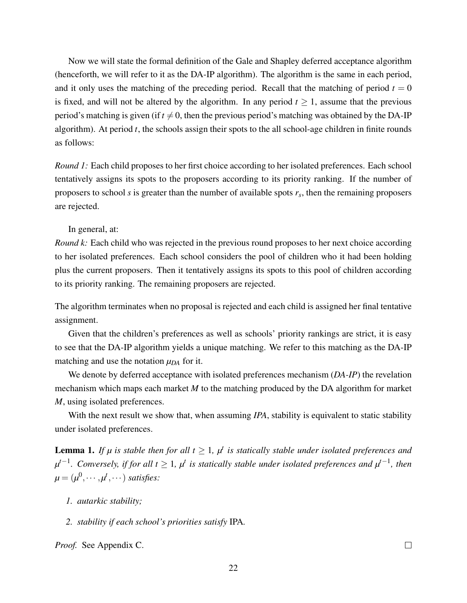Now we will state the formal definition of the Gale and Shapley deferred acceptance algorithm (henceforth, we will refer to it as the DA-IP algorithm). The algorithm is the same in each period, and it only uses the matching of the preceding period. Recall that the matching of period  $t = 0$ is fixed, and will not be altered by the algorithm. In any period  $t \geq 1$ , assume that the previous period's matching is given (if  $t \neq 0$ , then the previous period's matching was obtained by the DA-IP algorithm). At period *t*, the schools assign their spots to the all school-age children in finite rounds as follows:

*Round 1:* Each child proposes to her first choice according to her isolated preferences. Each school tentatively assigns its spots to the proposers according to its priority ranking. If the number of proposers to school *s* is greater than the number of available spots *r<sup>s</sup>* , then the remaining proposers are rejected.

In general, at:

*Round k:* Each child who was rejected in the previous round proposes to her next choice according to her isolated preferences. Each school considers the pool of children who it had been holding plus the current proposers. Then it tentatively assigns its spots to this pool of children according to its priority ranking. The remaining proposers are rejected.

The algorithm terminates when no proposal is rejected and each child is assigned her final tentative assignment.

Given that the children's preferences as well as schools' priority rankings are strict, it is easy to see that the DA-IP algorithm yields a unique matching. We refer to this matching as the DA-IP matching and use the notation  $\mu_{DA}$  for it.

We denote by deferred acceptance with isolated preferences mechanism (*DA-IP*) the revelation mechanism which maps each market *M* to the matching produced by the DA algorithm for market *M*, using isolated preferences.

With the next result we show that, when assuming *IPA*, stability is equivalent to static stability under isolated preferences.

**Lemma 1.** If  $\mu$  is stable then for all  $t \geq 1$ ,  $\mu^t$  is statically stable under isolated preferences and *µ t*−1 *. Conversely, if for all t* ≥ 1*, µ<sup>t</sup> is statically stable under isolated preferences and µt*−<sup>1</sup> *, then*  $\mu = (\mu^0, \dots, \mu^t, \dots)$  *satisfies:* 

- *1. autarkic stability;*
- *2. stability if each school's priorities satisfy* IPA*.*

*Proof.* See Appendix C.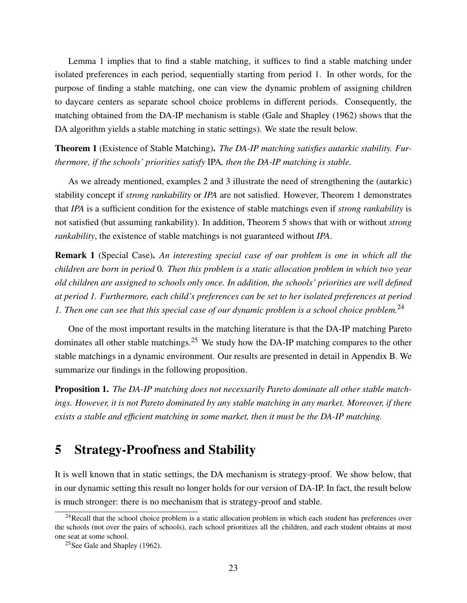Lemma 1 implies that to find a stable matching, it suffices to find a stable matching under isolated preferences in each period, sequentially starting from period 1. In other words, for the purpose of finding a stable matching, one can view the dynamic problem of assigning children to daycare centers as separate school choice problems in different periods. Consequently, the matching obtained from the DA-IP mechanism is stable (Gale and Shapley (1962) shows that the DA algorithm yields a stable matching in static settings). We state the result below.

Theorem 1 (Existence of Stable Matching). *The DA-IP matching satisfies autarkic stability. Furthermore, if the schools' priorities satisfy* IPA*, then the DA-IP matching is stable.*

As we already mentioned, examples 2 and 3 illustrate the need of strengthening the (autarkic) stability concept if *strong rankability* or *IPA* are not satisfied. However, Theorem 1 demonstrates that *IPA* is a sufficient condition for the existence of stable matchings even if *strong rankability* is not satisfied (but assuming rankability). In addition, Theorem 5 shows that with or without *strong rankability*, the existence of stable matchings is not guaranteed without *IPA*.

Remark 1 (Special Case). *An interesting special case of our problem is one in which all the children are born in period* 0*. Then this problem is a static allocation problem in which two year old children are assigned to schools only once. In addition, the schools' priorities are well defined at period 1. Furthermore, each child's preferences can be set to her isolated preferences at period 1. Then one can see that this special case of our dynamic problem is a school choice problem.*<sup>24</sup>

One of the most important results in the matching literature is that the DA-IP matching Pareto dominates all other stable matchings.<sup>25</sup> We study how the DA-IP matching compares to the other stable matchings in a dynamic environment. Our results are presented in detail in Appendix B. We summarize our findings in the following proposition.

Proposition 1. *The DA-IP matching does not necessarily Pareto dominate all other stable matchings. However, it is not Pareto dominated by any stable matching in any market. Moreover, if there exists a stable and efficient matching in some market, then it must be the DA-IP matching.*

### 5 Strategy-Proofness and Stability

It is well known that in static settings, the DA mechanism is strategy-proof. We show below, that in our dynamic setting this result no longer holds for our version of DA-IP. In fact, the result below is much stronger: there is no mechanism that is strategy-proof and stable.

 $24$ Recall that the school choice problem is a static allocation problem in which each student has preferences over the schools (not over the pairs of schools), each school prioritizes all the children, and each student obtains at most one seat at some school.

<sup>&</sup>lt;sup>25</sup>See Gale and Shapley  $(1962)$ .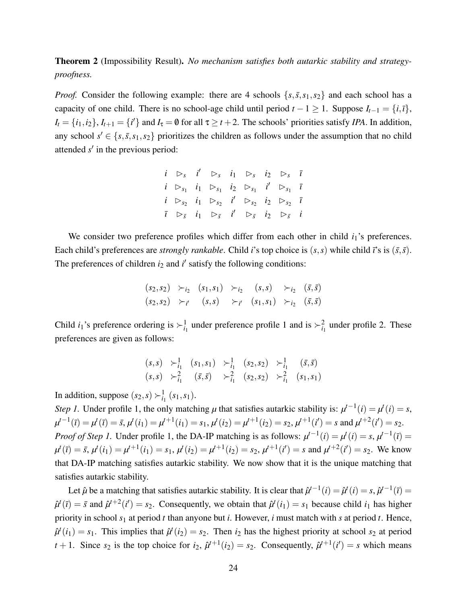Theorem 2 (Impossibility Result). *No mechanism satisfies both autarkic stability and strategyproofness.*

*Proof.* Consider the following example: there are 4 schools  $\{s, \bar{s}, s_1, s_2\}$  and each school has a capacity of one child. There is no school-age child until period  $t - 1 \geq 1$ . Suppose  $I_{t-1} = \{i, \bar{i}\}$ ,  $I_t = \{i_1, i_2\}, I_{t+1} = \{i'\}$  and  $I_{\tau} = \emptyset$  for all  $\tau \geq t+2$ . The schools' priorities satisfy *IPA*. In addition, any school  $s' \in \{s, \bar{s}, s_1, s_2\}$  prioritizes the children as follows under the assumption that no child attended  $s'$  in the previous period:

|  | $i \supset_{s} i' \supset_{s} i_1 \supset_{s} i_2 \supset_{s} i$                                                                                                             |  |  |  |
|--|------------------------------------------------------------------------------------------------------------------------------------------------------------------------------|--|--|--|
|  | $i \rhd_{s_1} i_1 \rhd_{s_1} i_2 \rhd_{s_1} i' \rhd_{s_1} \bar{\iota}$                                                                                                       |  |  |  |
|  | $i \quad \triangleright_{s_2} \quad i_1 \quad \triangleright_{s_2} \quad i' \quad \triangleright_{s_2} \quad i_2 \quad \triangleright_{s_2} \quad \overline{\iota}$          |  |  |  |
|  | $\bar{i} \quad \triangleright_{\bar{s}} \quad i_1 \quad \triangleright_{\bar{s}} \quad i' \quad \triangleright_{\bar{s}} \quad i_2 \quad \triangleright_{\bar{s}} \quad i_1$ |  |  |  |

We consider two preference profiles which differ from each other in child  $i_1$ 's preferences. Each child's preferences are *strongly rankable*. Child *i*'s top choice is  $(s, s)$  while child  $\vec{r}$ 's is  $(\bar{s}, \bar{s})$ . The preferences of children  $i_2$  and  $i'$  satisfy the following conditions:

$$
\begin{array}{ccccccc}\n(s_2, s_2) & \succ_{i_2} & (s_1, s_1) & \succ_{i_2} & (s, s) & \succ_{i_2} & (\bar{s}, \bar{s}) \\
(s_2, s_2) & \succ_{i'} & (s, s) & \succ_{i'} & (s_1, s_1) & \succ_{i_2} & (\bar{s}, \bar{s})\n\end{array}
$$

Child  $i_1$ 's preference ordering is  $\succ_{i_1}^1$  under preference profile 1 and is  $\succ_{i_1}^2$  under profile 2. These preferences are given as follows:

$$
\begin{array}{ccccccccc}\n(s,s) & \succ_{i_1}^1 & (s_1,s_1) & \succ_{i_1}^1 & (s_2,s_2) & \succ_{i_1}^1 & (s,\bar{s}) \\
(s,s) & \succ_{i_1}^2 & (s,\bar{s}) & \succ_{i_1}^2 & (s_2,s_2) & \succ_{i_1}^2 & (s_1,s_1)\n\end{array}
$$

In addition, suppose  $(s_2, s) \succ_{i_1}^1 (s_1, s_1)$ .

*Step 1*. Under profile 1, the only matching  $\mu$  that satisfies autarkic stability is:  $\mu^{t-1}(i) = \mu^{t}(i) = s$ ,  $\mu^{t-1}(\overline{\iota}) = \mu^{t}(\overline{\iota}) = \overline{s}, \mu^{t}(i_1) = \mu^{t+1}(i_1) = s_1, \mu^{t}(i_2) = \mu^{t+1}(i_2) = s_2, \mu^{t+1}(i') = s \text{ and } \mu^{t+2}(i') = s_2.$ *Proof of Step 1*. Under profile 1, the DA-IP matching is as follows:  $\mu^{t-1}(i) = \mu^{t}(i) = s$ ,  $\mu^{t-1}(\bar{i}) =$  $\mu^{t}(i) = \bar{s}, \mu^{t}(i_1) = \mu^{t+1}(i_1) = s_1, \mu^{t}(i_2) = \mu^{t+1}(i_2) = s_2, \mu^{t+1}(i') = s$  and  $\mu^{t+2}(i') = s_2$ . We know that DA-IP matching satisfies autarkic stability. We now show that it is the unique matching that satisfies autarkic stability.

Let  $\hat{\mu}$  be a matching that satisfies autarkic stability. It is clear that  $\hat{\mu}^{t-1}(i) = \hat{\mu}^t(i) = s$ ,  $\hat{\mu}^{t-1}(\bar{i}) =$  $\hat{\mu}^t(\bar{\imath}) = \bar{s}$  and  $\hat{\mu}^{t+2}(\bar{\imath}') = s_2$ . Consequently, we obtain that  $\hat{\mu}^t(i_1) = s_1$  because child  $i_1$  has higher priority in school *s*<sup>1</sup> at period *t* than anyone but *i*. However, *i* must match with *s* at period *t*. Hence,  $\hat{\mu}^t(i_1) = s_1$ . This implies that  $\hat{\mu}^t(i_2) = s_2$ . Then  $i_2$  has the highest priority at school  $s_2$  at period *t* + 1. Since  $s_2$  is the top choice for  $i_2$ ,  $\hat{\mu}^{t+1}(i_2) = s_2$ . Consequently,  $\hat{\mu}^{t+1}(i') = s$  which means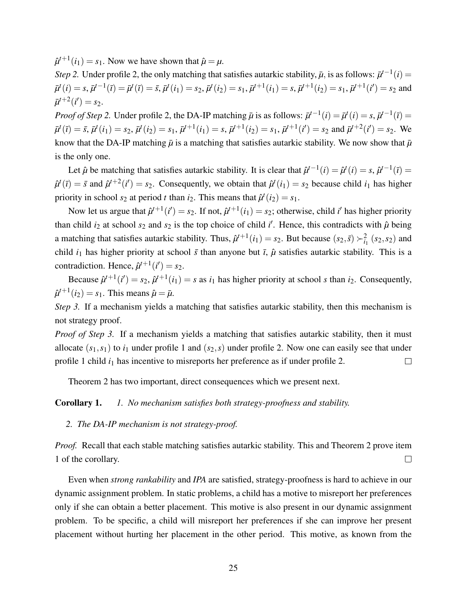$\hat{\mu}^{t+1}(i_1) = s_1$ . Now we have shown that  $\hat{\mu} = \mu$ .

*Step 2.* Under profile 2, the only matching that satisfies autarkic stability,  $\bar{\mu}$ , is as follows:  $\bar{\mu}^{t-1}(i)$  =  $\bar{\mu}^t(i) = s$ ,  $\bar{\mu}^{t-1}(\bar{i}) = \bar{\mu}^t(\bar{i}) = \bar{s}$ ,  $\bar{\mu}^t(i_1) = s_2$ ,  $\bar{\mu}^t(i_2) = s_1$ ,  $\bar{\mu}^{t+1}(i_1) = s$ ,  $\bar{\mu}^{t+1}(i_2) = s_1$ ,  $\bar{\mu}^{t+1}(i') = s_2$  and  $\bar{\mu}^{t+2}(i') = s_2.$ 

*Proof of Step 2.* Under profile 2, the DA-IP matching  $\bar{\mu}$  is as follows:  $\bar{\mu}^{t-1}(i) = \bar{\mu}^t(i) = s$ ,  $\bar{\mu}^{t-1}(\bar{i}) =$  $\bar{\mu}^t(\bar{t}) = \bar{s}, \bar{\mu}^t(i_1) = s_2, \bar{\mu}^t(i_2) = s_1, \bar{\mu}^{t+1}(i_1) = s, \bar{\mu}^{t+1}(i_2) = s_1, \bar{\mu}^{t+1}(i') = s_2 \text{ and } \bar{\mu}^{t+2}(i') = s_2.$  We know that the DA-IP matching  $\bar{\mu}$  is a matching that satisfies autarkic stability. We now show that  $\bar{\mu}$ is the only one.

Let  $\hat{\mu}$  be matching that satisfies autarkic stability. It is clear that  $\hat{\mu}^{t-1}(i) = \hat{\mu}^{t}(i) = s$ ,  $\hat{\mu}^{t-1}(\bar{\iota}) =$  $\hat{\mu}^t(\bar{\imath}) = \bar{s}$  and  $\hat{\mu}^{t+2}(i') = s_2$ . Consequently, we obtain that  $\hat{\mu}^t(i_1) = s_2$  because child  $i_1$  has higher priority in school  $s_2$  at period *t* than  $i_2$ . This means that  $\hat{\mu}^t(i_2) = s_1$ .

Now let us argue that  $\hat{\mu}^{t+1}(i') = s_2$ . If not,  $\hat{\mu}^{t+1}(i_1) = s_2$ ; otherwise, child *i*' has higher priority than child  $i_2$  at school  $s_2$  and  $s_2$  is the top choice of child  $i'$ . Hence, this contradicts with  $\hat{\mu}$  being a matching that satisfies autarkic stability. Thus,  $\hat{\mu}^{t+1}(i_1) = s_2$ . But because  $(s_2, \bar{s}) \succ_{i_1}^2 (s_2, s_2)$  and child  $i_1$  has higher priority at school  $\bar{s}$  than anyone but  $\bar{i}$ ,  $\hat{\mu}$  satisfies autarkic stability. This is a contradiction. Hence,  $\hat{\mu}^{t+1}(i') = s_2$ .

Because  $\hat{\mu}^{t+1}(i') = s_2$ ,  $\hat{\mu}^{t+1}(i_1) = s$  as  $i_1$  has higher priority at school *s* than  $i_2$ . Consequently,  $\hat{\mu}^{t+1}(i_2) = s_1$ . This means  $\hat{\mu} = \bar{\mu}$ .

*Step 3.* If a mechanism yields a matching that satisfies autarkic stability, then this mechanism is not strategy proof.

*Proof of Step 3.* If a mechanism yields a matching that satisfies autarkic stability, then it must allocate  $(s_1, s_1)$  to  $i_1$  under profile 1 and  $(s_2, s)$  under profile 2. Now one can easily see that under profile 1 child  $i_1$  has incentive to misreports her preference as if under profile 2.  $\Box$ 

Theorem 2 has two important, direct consequences which we present next.

#### Corollary 1. *1. No mechanism satisfies both strategy-proofness and stability.*

#### *2. The DA-IP mechanism is not strategy-proof.*

*Proof.* Recall that each stable matching satisfies autarkic stability. This and Theorem 2 prove item 1 of the corollary.  $\Box$ 

Even when *strong rankability* and *IPA* are satisfied, strategy-proofness is hard to achieve in our dynamic assignment problem. In static problems, a child has a motive to misreport her preferences only if she can obtain a better placement. This motive is also present in our dynamic assignment problem. To be specific, a child will misreport her preferences if she can improve her present placement without hurting her placement in the other period. This motive, as known from the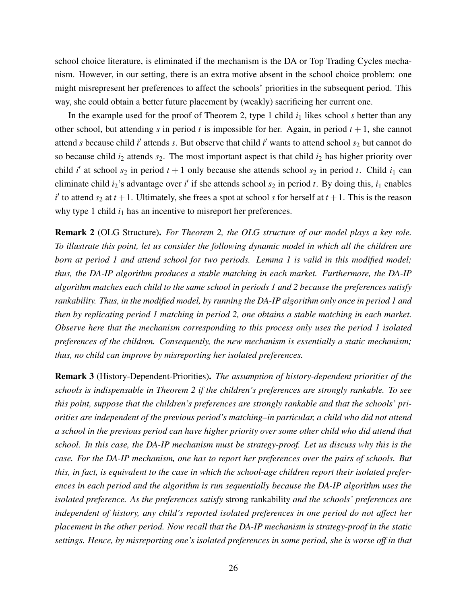school choice literature, is eliminated if the mechanism is the DA or Top Trading Cycles mechanism. However, in our setting, there is an extra motive absent in the school choice problem: one might misrepresent her preferences to affect the schools' priorities in the subsequent period. This way, she could obtain a better future placement by (weakly) sacrificing her current one.

In the example used for the proof of Theorem 2, type 1 child  $i_1$  likes school *s* better than any other school, but attending *s* in period *t* is impossible for her. Again, in period  $t + 1$ , she cannot attend *s* because child *i*' attends *s*. But observe that child *i*' wants to attend school *s*<sub>2</sub> but cannot do so because child *i*<sup>2</sup> attends *s*2. The most important aspect is that child *i*<sup>2</sup> has higher priority over child *i'* at school  $s_2$  in period  $t + 1$  only because she attends school  $s_2$  in period *t*. Child  $i_1$  can eliminate child  $i_2$ 's advantage over *i'* if she attends school  $s_2$  in period *t*. By doing this,  $i_1$  enables  $i'$  to attend  $s_2$  at  $t + 1$ . Ultimately, she frees a spot at school *s* for herself at  $t + 1$ . This is the reason why type 1 child  $i_1$  has an incentive to misreport her preferences.

Remark 2 (OLG Structure). *For Theorem 2, the OLG structure of our model plays a key role. To illustrate this point, let us consider the following dynamic model in which all the children are born at period 1 and attend school for two periods. Lemma 1 is valid in this modified model; thus, the DA-IP algorithm produces a stable matching in each market. Furthermore, the DA-IP algorithm matches each child to the same school in periods 1 and 2 because the preferences satisfy rankability. Thus, in the modified model, by running the DA-IP algorithm only once in period 1 and then by replicating period 1 matching in period 2, one obtains a stable matching in each market. Observe here that the mechanism corresponding to this process only uses the period 1 isolated preferences of the children. Consequently, the new mechanism is essentially a static mechanism; thus, no child can improve by misreporting her isolated preferences.*

Remark 3 (History-Dependent-Priorities). *The assumption of history-dependent priorities of the schools is indispensable in Theorem 2 if the children's preferences are strongly rankable. To see this point, suppose that the children's preferences are strongly rankable and that the schools' priorities are independent of the previous period's matching–in particular, a child who did not attend a school in the previous period can have higher priority over some other child who did attend that school. In this case, the DA-IP mechanism must be strategy-proof. Let us discuss why this is the case. For the DA-IP mechanism, one has to report her preferences over the pairs of schools. But this, in fact, is equivalent to the case in which the school-age children report their isolated preferences in each period and the algorithm is run sequentially because the DA-IP algorithm uses the isolated preference. As the preferences satisfy* strong rankability *and the schools' preferences are independent of history, any child's reported isolated preferences in one period do not affect her placement in the other period. Now recall that the DA-IP mechanism is strategy-proof in the static settings. Hence, by misreporting one's isolated preferences in some period, she is worse off in that*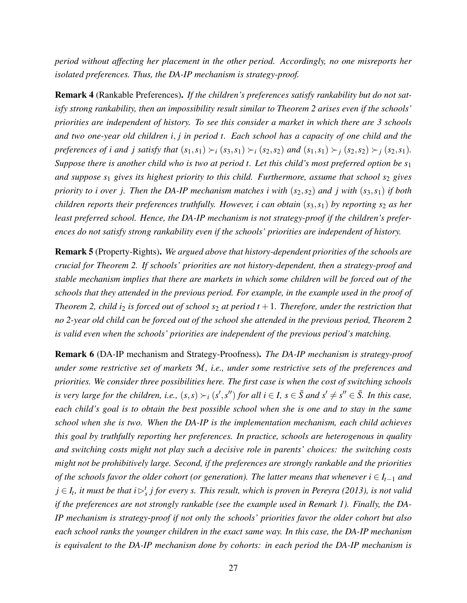*period without affecting her placement in the other period. Accordingly, no one misreports her isolated preferences. Thus, the DA-IP mechanism is strategy-proof.*

Remark 4 (Rankable Preferences). *If the children's preferences satisfy rankability but do not satisfy strong rankability, then an impossibility result similar to Theorem 2 arises even if the schools' priorities are independent of history. To see this consider a market in which there are 3 schools and two one-year old children i*, *j in period t. Each school has a capacity of one child and the* preferences of *i* and *j* satisfy that  $(s_1,s_1) \succ_i (s_3,s_1) \succ_i (s_2,s_2)$  and  $(s_1,s_1) \succ_i (s_2,s_2) \succ_i (s_2,s_1)$ . *Suppose there is another child who is two at period t. Let this child's most preferred option be s*<sup>1</sup> *and suppose s*<sub>1</sub> *gives its highest priority to this child. Furthermore, assume that school s*<sub>2</sub> *gives priority to i over j. Then the DA-IP mechanism matches i with*  $(s_2, s_2)$  *and j with*  $(s_3, s_1)$  *if both children reports their preferences truthfully. However, i can obtain* (*s*3,*s*1) *by reporting s*<sup>2</sup> *as her least preferred school. Hence, the DA-IP mechanism is not strategy-proof if the children's preferences do not satisfy strong rankability even if the schools' priorities are independent of history.*

Remark 5 (Property-Rights). *We argued above that history-dependent priorities of the schools are crucial for Theorem 2. If schools' priorities are not history-dependent, then a strategy-proof and stable mechanism implies that there are markets in which some children will be forced out of the schools that they attended in the previous period. For example, in the example used in the proof of Theorem 2, child i<sub>2</sub> is forced out of school s<sub>2</sub> at period*  $t + 1$ *. Therefore, under the restriction that no 2-year old child can be forced out of the school she attended in the previous period, Theorem 2 is valid even when the schools' priorities are independent of the previous period's matching.*

Remark 6 (DA-IP mechanism and Strategy-Proofness). *The DA-IP mechanism is strategy-proof under some restrictive set of markets M , i.e., under some restrictive sets of the preferences and priorities. We consider three possibilities here. The first case is when the cost of switching schools is very large for the children, i.e.,*  $(s, s) \succ_i (s', s'')$  *for all i*  $\in$  *I,*  $s \in \overline{S}$  *and*  $s' \neq s'' \in \overline{S}$ *. In this case, each child's goal is to obtain the best possible school when she is one and to stay in the same school when she is two. When the DA-IP is the implementation mechanism, each child achieves this goal by truthfully reporting her preferences. In practice, schools are heterogenous in quality and switching costs might not play such a decisive role in parents' choices: the switching costs might not be prohibitively large. Second, if the preferences are strongly rankable and the priorities of the schools favor the older cohort (or generation). The latter means that whenever i*  $\in I_{t-1}$  *and*  $j \in I_t$ , it must be that  $i \rhd_s^t j$  for every s. This result, which is proven in Pereyra (2013), is not valid *if the preferences are not strongly rankable (see the example used in Remark 1). Finally, the DA-IP mechanism is strategy-proof if not only the schools' priorities favor the older cohort but also each school ranks the younger children in the exact same way. In this case, the DA-IP mechanism is equivalent to the DA-IP mechanism done by cohorts: in each period the DA-IP mechanism is*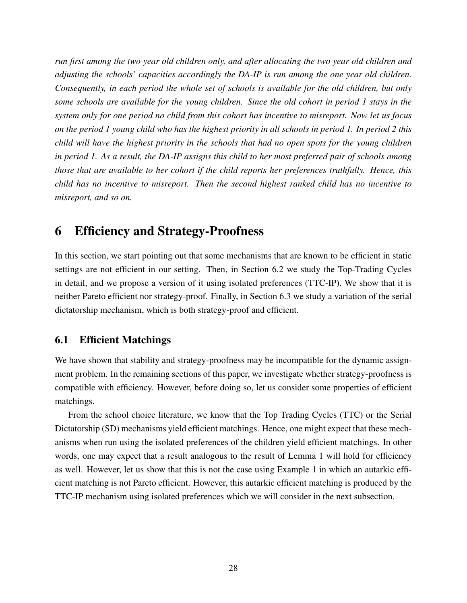*run first among the two year old children only, and after allocating the two year old children and adjusting the schools' capacities accordingly the DA-IP is run among the one year old children. Consequently, in each period the whole set of schools is available for the old children, but only some schools are available for the young children. Since the old cohort in period 1 stays in the system only for one period no child from this cohort has incentive to misreport. Now let us focus on the period 1 young child who has the highest priority in all schools in period 1. In period 2 this child will have the highest priority in the schools that had no open spots for the young children in period 1. As a result, the DA-IP assigns this child to her most preferred pair of schools among those that are available to her cohort if the child reports her preferences truthfully. Hence, this child has no incentive to misreport. Then the second highest ranked child has no incentive to misreport, and so on.*

### 6 Efficiency and Strategy-Proofness

In this section, we start pointing out that some mechanisms that are known to be efficient in static settings are not efficient in our setting. Then, in Section 6.2 we study the Top-Trading Cycles in detail, and we propose a version of it using isolated preferences (TTC-IP). We show that it is neither Pareto efficient nor strategy-proof. Finally, in Section 6.3 we study a variation of the serial dictatorship mechanism, which is both strategy-proof and efficient.

### 6.1 Efficient Matchings

We have shown that stability and strategy-proofness may be incompatible for the dynamic assignment problem. In the remaining sections of this paper, we investigate whether strategy-proofness is compatible with efficiency. However, before doing so, let us consider some properties of efficient matchings.

From the school choice literature, we know that the Top Trading Cycles (TTC) or the Serial Dictatorship (SD) mechanisms yield efficient matchings. Hence, one might expect that these mechanisms when run using the isolated preferences of the children yield efficient matchings. In other words, one may expect that a result analogous to the result of Lemma 1 will hold for efficiency as well. However, let us show that this is not the case using Example 1 in which an autarkic efficient matching is not Pareto efficient. However, this autarkic efficient matching is produced by the TTC-IP mechanism using isolated preferences which we will consider in the next subsection.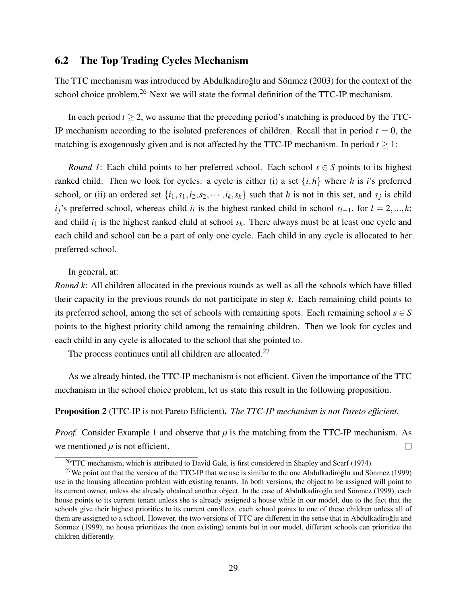### 6.2 The Top Trading Cycles Mechanism

The TTC mechanism was introduced by Abdulkadiroğlu and Sönmez (2003) for the context of the school choice problem.<sup>26</sup> Next we will state the formal definition of the TTC-IP mechanism.

In each period  $t > 2$ , we assume that the preceding period's matching is produced by the TTC-IP mechanism according to the isolated preferences of children. Recall that in period  $t = 0$ , the matching is exogenously given and is not affected by the TTC-IP mechanism. In period  $t \ge 1$ :

*Round 1*: Each child points to her preferred school. Each school  $s \in S$  points to its highest ranked child. Then we look for cycles: a cycle is either (i) a set  $\{i, h\}$  where *h* is *i*'s preferred school, or (ii) an ordered set  $\{i_1, s_1, i_2, s_2, \dots, i_k, s_k\}$  such that *h* is not in this set, and  $s_j$  is child *i*<sub>j</sub>'s preferred school, whereas child *i*<sub>*l*</sub> is the highest ranked child in school  $s_{l-1}$ , for  $l = 2, ..., k$ ; and child  $i_1$  is the highest ranked child at school  $s_k$ . There always must be at least one cycle and each child and school can be a part of only one cycle. Each child in any cycle is allocated to her preferred school.

In general, at:

*Round k*: All children allocated in the previous rounds as well as all the schools which have filled their capacity in the previous rounds do not participate in step *k*. Each remaining child points to its preferred school, among the set of schools with remaining spots. Each remaining school  $s \in S$ points to the highest priority child among the remaining children. Then we look for cycles and each child in any cycle is allocated to the school that she pointed to.

The process continues until all children are allocated.<sup>27</sup>

As we already hinted, the TTC-IP mechanism is not efficient. Given the importance of the TTC mechanism in the school choice problem, let us state this result in the following proposition.

#### Proposition 2 (TTC-IP is not Pareto Efficient). *The TTC-IP mechanism is not Pareto efficient.*

*Proof.* Consider Example 1 and observe that  $\mu$  is the matching from the TTC-IP mechanism. As we mentioned  $\mu$  is not efficient.  $\Box$ 

<sup>&</sup>lt;sup>26</sup>TTC mechanism, which is attributed to David Gale, is first considered in Shapley and Scarf (1974).

<sup>&</sup>lt;sup>27</sup>We point out that the version of the TTC-IP that we use is similar to the one Abdulkadiroglu and Sönmez (1999) use in the housing allocation problem with existing tenants. In both versions, the object to be assigned will point to its current owner, unless she already obtained another object. In the case of Abdulkadiroğlu and Sönmez (1999), each house points to its current tenant unless she is already assigned a house while in our model, due to the fact that the schools give their highest priorities to its current enrollees, each school points to one of these children unless all of them are assigned to a school. However, the two versions of TTC are different in the sense that in Abdulkadiroğlu and Sönmez (1999), no house prioritizes the (non existing) tenants but in our model, different schools can prioritize the children differently.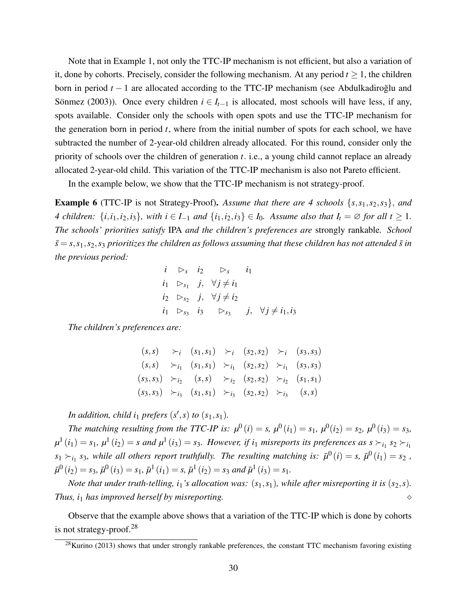Note that in Example 1, not only the TTC-IP mechanism is not efficient, but also a variation of it, done by cohorts. Precisely, consider the following mechanism. At any period  $t \geq 1$ , the children born in period *t* − 1 are allocated according to the TTC-IP mechanism (see Abdulkadiroğlu and Sönmez (2003)). Once every children  $i \in I_{t-1}$  is allocated, most schools will have less, if any, spots available. Consider only the schools with open spots and use the TTC-IP mechanism for the generation born in period *t*, where from the initial number of spots for each school, we have subtracted the number of 2-year-old children already allocated. For this round, consider only the priority of schools over the children of generation *t*. i.e., a young child cannot replace an already allocated 2-year-old child. This variation of the TTC-IP mechanism is also not Pareto efficient.

In the example below, we show that the TTC-IP mechanism is not strategy-proof.

Example 6 (TTC-IP is not Strategy-Proof). *Assume that there are 4 schools* {*s*,*s*1,*s*2,*s*3}, *and 4 children:*  $\{i, i_1, i_2, i_3\}$ , with  $i \in I_{-1}$  and  $\{i_1, i_2, i_3\} \in I_0$ . Assume also that  $I_t = ∅$  for all  $t ≥ 1$ . *The schools' priorities satisfy* IPA *and the children's preferences are* strongly rankable*. School*  $\bar{s}$  =  $s$ , $s$ <sub>1</sub>, $s$ <sub>2</sub>, $s$ <sub>3</sub> *prioritizes the children as follows assuming that these children has not attended*  $\bar{s}$  *in the previous period:*

$$
\begin{array}{llll}\ni & \rhd_s & i_2 & \rhd_s & i_1 \\
i_1 & \rhd_{s_1} & j, \quad \forall j \neq i_1 \\
i_2 & \rhd_{s_2} & j, \quad \forall j \neq i_2 \\
i_1 & \rhd_{s_3} & i_3 & \rhd_{s_3} & j, \quad \forall j \neq i_1, i_3\n\end{array}
$$

*The children's preferences are:*

|  | $(s, s) \rightarrow_i (s_1, s_1) \rightarrow_i (s_2, s_2) \rightarrow_i (s_3, s_3)$             |  |  |
|--|-------------------------------------------------------------------------------------------------|--|--|
|  | $(s,s) \rightarrow_{i_1} (s_1,s_1) \rightarrow_{i_1} (s_2,s_2) \rightarrow_{i_1} (s_3,s_3)$     |  |  |
|  | $(s_3, s_3) \rightarrow_{i_2} (s, s) \rightarrow_{i_2} (s_2, s_2) \rightarrow_{i_2} (s_1, s_1)$ |  |  |
|  | $(s_3, s_3) \succ_{i_3} (s_1, s_1) \succ_{i_3} (s_2, s_2) \succ_{i_3} (s, s)$                   |  |  |

*In addition, child i<sub>1</sub> prefers*  $(s', s)$  *to*  $(s_1, s_1)$ *.* 

*The matching resulting from the TTC-IP is:*  $\mu^{0}(i) = s$ ,  $\mu^{0}(i_1) = s_1$ ,  $\mu^{0}(i_2) = s_2$ ,  $\mu^{0}(i_3) = s_3$ ,  $\mu^1(i_1) = s_1$ ,  $\mu^1(i_2) = s$  and  $\mu^1(i_3) = s_3$ . However, if  $i_1$  misreports its preferences as  $s \succ_{i_1} s_2 \succ_{i_1} s_3$  $s_1 \succ_{i_1} s_3$ , while all others report truthfully. The resulting matching is:  $\bar{\mu}^0(i) = s$ ,  $\bar{\mu}^0(i_1) = s_2$ ,  $\bar{\mu}^{0}(i_2) = s_3$ ,  $\bar{\mu}^{0}(i_3) = s_1$ ,  $\bar{\mu}^{1}(i_1) = s$ ,  $\bar{\mu}^{1}(i_2) = s_3$  and  $\bar{\mu}^{1}(i_3) = s_1$ .

*Note that under truth-telling, i<sub>1</sub>'s allocation was:*  $(s_1, s_1)$ *, while after misreporting it is*  $(s_2, s)$ *. Thus, i<sub>1</sub> has improved herself by misreporting.*  $\Diamond$ 

Observe that the example above shows that a variation of the TTC-IP which is done by cohorts is not strategy-proof.<sup>28</sup>

<sup>&</sup>lt;sup>28</sup>Kurino (2013) shows that under strongly rankable preferences, the constant TTC mechanism favoring existing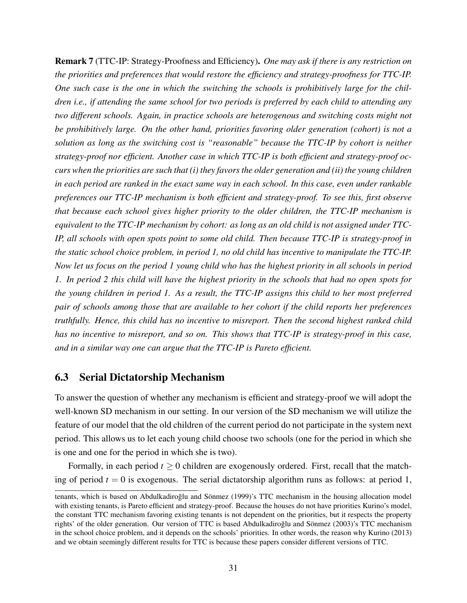Remark 7 (TTC-IP: Strategy-Proofness and Efficiency). *One may ask if there is any restriction on the priorities and preferences that would restore the efficiency and strategy-proofness for TTC-IP. One such case is the one in which the switching the schools is prohibitively large for the children i.e., if attending the same school for two periods is preferred by each child to attending any two different schools. Again, in practice schools are heterogenous and switching costs might not be prohibitively large. On the other hand, priorities favoring older generation (cohort) is not a solution as long as the switching cost is "reasonable" because the TTC-IP by cohort is neither strategy-proof nor efficient. Another case in which TTC-IP is both efficient and strategy-proof occurs when the priorities are such that (i) they favors the older generation and (ii) the young children in each period are ranked in the exact same way in each school. In this case, even under rankable preferences our TTC-IP mechanism is both efficient and strategy-proof. To see this, first observe that because each school gives higher priority to the older children, the TTC-IP mechanism is equivalent to the TTC-IP mechanism by cohort: as long as an old child is not assigned under TTC-IP, all schools with open spots point to some old child. Then because TTC-IP is strategy-proof in the static school choice problem, in period 1, no old child has incentive to manipulate the TTC-IP. Now let us focus on the period 1 young child who has the highest priority in all schools in period 1. In period 2 this child will have the highest priority in the schools that had no open spots for the young children in period 1. As a result, the TTC-IP assigns this child to her most preferred pair of schools among those that are available to her cohort if the child reports her preferences truthfully. Hence, this child has no incentive to misreport. Then the second highest ranked child has no incentive to misreport, and so on. This shows that TTC-IP is strategy-proof in this case, and in a similar way one can argue that the TTC-IP is Pareto efficient.*

### 6.3 Serial Dictatorship Mechanism

To answer the question of whether any mechanism is efficient and strategy-proof we will adopt the well-known SD mechanism in our setting. In our version of the SD mechanism we will utilize the feature of our model that the old children of the current period do not participate in the system next period. This allows us to let each young child choose two schools (one for the period in which she is one and one for the period in which she is two).

Formally, in each period  $t > 0$  children are exogenously ordered. First, recall that the matching of period  $t = 0$  is exogenous. The serial dictatorship algorithm runs as follows: at period 1,

tenants, which is based on Abdulkadiroğlu and Sönmez (1999)'s TTC mechanism in the housing allocation model with existing tenants, is Pareto efficient and strategy-proof. Because the houses do not have priorities Kurino's model, the constant TTC mechanism favoring existing tenants is not dependent on the priorities, but it respects the property rights' of the older generation. Our version of TTC is based Abdulkadiroglu and Sönmez (2003)'s TTC mechanism in the school choice problem, and it depends on the schools' priorities. In other words, the reason why Kurino (2013) and we obtain seemingly different results for TTC is because these papers consider different versions of TTC.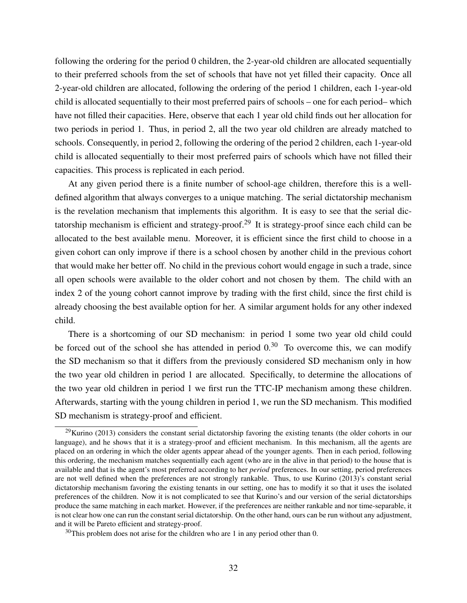following the ordering for the period 0 children, the 2-year-old children are allocated sequentially to their preferred schools from the set of schools that have not yet filled their capacity. Once all 2-year-old children are allocated, following the ordering of the period 1 children, each 1-year-old child is allocated sequentially to their most preferred pairs of schools – one for each period– which have not filled their capacities. Here, observe that each 1 year old child finds out her allocation for two periods in period 1. Thus, in period 2, all the two year old children are already matched to schools. Consequently, in period 2, following the ordering of the period 2 children, each 1-year-old child is allocated sequentially to their most preferred pairs of schools which have not filled their capacities. This process is replicated in each period.

At any given period there is a finite number of school-age children, therefore this is a welldefined algorithm that always converges to a unique matching. The serial dictatorship mechanism is the revelation mechanism that implements this algorithm. It is easy to see that the serial dictatorship mechanism is efficient and strategy-proof.<sup>29</sup> It is strategy-proof since each child can be allocated to the best available menu. Moreover, it is efficient since the first child to choose in a given cohort can only improve if there is a school chosen by another child in the previous cohort that would make her better off. No child in the previous cohort would engage in such a trade, since all open schools were available to the older cohort and not chosen by them. The child with an index 2 of the young cohort cannot improve by trading with the first child, since the first child is already choosing the best available option for her. A similar argument holds for any other indexed child.

There is a shortcoming of our SD mechanism: in period 1 some two year old child could be forced out of the school she has attended in period  $0<sup>30</sup>$  To overcome this, we can modify the SD mechanism so that it differs from the previously considered SD mechanism only in how the two year old children in period 1 are allocated. Specifically, to determine the allocations of the two year old children in period 1 we first run the TTC-IP mechanism among these children. Afterwards, starting with the young children in period 1, we run the SD mechanism. This modified SD mechanism is strategy-proof and efficient.

 $30$ This problem does not arise for the children who are 1 in any period other than 0.

 $^{29}$ Kurino (2013) considers the constant serial dictatorship favoring the existing tenants (the older cohorts in our language), and he shows that it is a strategy-proof and efficient mechanism. In this mechanism, all the agents are placed on an ordering in which the older agents appear ahead of the younger agents. Then in each period, following this ordering, the mechanism matches sequentially each agent (who are in the alive in that period) to the house that is available and that is the agent's most preferred according to her *period* preferences. In our setting, period preferences are not well defined when the preferences are not strongly rankable. Thus, to use Kurino (2013)'s constant serial dictatorship mechanism favoring the existing tenants in our setting, one has to modify it so that it uses the isolated preferences of the children. Now it is not complicated to see that Kurino's and our version of the serial dictatorships produce the same matching in each market. However, if the preferences are neither rankable and nor time-separable, it is not clear how one can run the constant serial dictatorship. On the other hand, ours can be run without any adjustment, and it will be Pareto efficient and strategy-proof.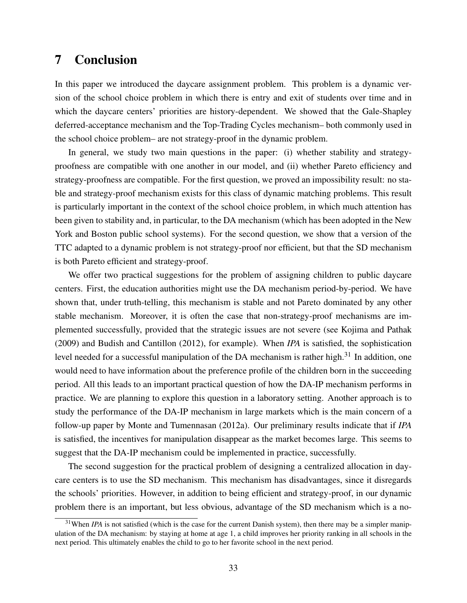### 7 Conclusion

In this paper we introduced the daycare assignment problem. This problem is a dynamic version of the school choice problem in which there is entry and exit of students over time and in which the daycare centers' priorities are history-dependent. We showed that the Gale-Shapley deferred-acceptance mechanism and the Top-Trading Cycles mechanism– both commonly used in the school choice problem– are not strategy-proof in the dynamic problem.

In general, we study two main questions in the paper: (i) whether stability and strategyproofness are compatible with one another in our model, and (ii) whether Pareto efficiency and strategy-proofness are compatible. For the first question, we proved an impossibility result: no stable and strategy-proof mechanism exists for this class of dynamic matching problems. This result is particularly important in the context of the school choice problem, in which much attention has been given to stability and, in particular, to the DA mechanism (which has been adopted in the New York and Boston public school systems). For the second question, we show that a version of the TTC adapted to a dynamic problem is not strategy-proof nor efficient, but that the SD mechanism is both Pareto efficient and strategy-proof.

We offer two practical suggestions for the problem of assigning children to public daycare centers. First, the education authorities might use the DA mechanism period-by-period. We have shown that, under truth-telling, this mechanism is stable and not Pareto dominated by any other stable mechanism. Moreover, it is often the case that non-strategy-proof mechanisms are implemented successfully, provided that the strategic issues are not severe (see Kojima and Pathak (2009) and Budish and Cantillon (2012), for example). When *IPA* is satisfied, the sophistication level needed for a successful manipulation of the DA mechanism is rather high.<sup>31</sup> In addition, one would need to have information about the preference profile of the children born in the succeeding period. All this leads to an important practical question of how the DA-IP mechanism performs in practice. We are planning to explore this question in a laboratory setting. Another approach is to study the performance of the DA-IP mechanism in large markets which is the main concern of a follow-up paper by Monte and Tumennasan (2012a). Our preliminary results indicate that if *IPA* is satisfied, the incentives for manipulation disappear as the market becomes large. This seems to suggest that the DA-IP mechanism could be implemented in practice, successfully.

The second suggestion for the practical problem of designing a centralized allocation in daycare centers is to use the SD mechanism. This mechanism has disadvantages, since it disregards the schools' priorities. However, in addition to being efficient and strategy-proof, in our dynamic problem there is an important, but less obvious, advantage of the SD mechanism which is a no-

<sup>&</sup>lt;sup>31</sup>When *IPA* is not satisfied (which is the case for the current Danish system), then there may be a simpler manipulation of the DA mechanism: by staying at home at age 1, a child improves her priority ranking in all schools in the next period. This ultimately enables the child to go to her favorite school in the next period.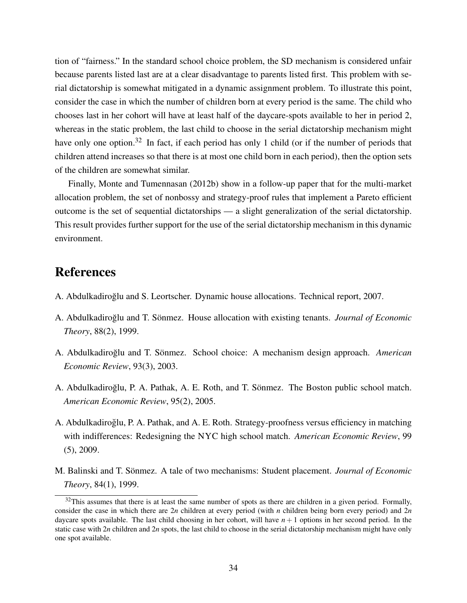tion of "fairness." In the standard school choice problem, the SD mechanism is considered unfair because parents listed last are at a clear disadvantage to parents listed first. This problem with serial dictatorship is somewhat mitigated in a dynamic assignment problem. To illustrate this point, consider the case in which the number of children born at every period is the same. The child who chooses last in her cohort will have at least half of the daycare-spots available to her in period 2, whereas in the static problem, the last child to choose in the serial dictatorship mechanism might have only one option.<sup>32</sup> In fact, if each period has only 1 child (or if the number of periods that children attend increases so that there is at most one child born in each period), then the option sets of the children are somewhat similar.

Finally, Monte and Tumennasan (2012b) show in a follow-up paper that for the multi-market allocation problem, the set of nonbossy and strategy-proof rules that implement a Pareto efficient outcome is the set of sequential dictatorships — a slight generalization of the serial dictatorship. This result provides further support for the use of the serial dictatorship mechanism in this dynamic environment.

### References

- A. Abdulkadiroğlu and S. Leortscher. Dynamic house allocations. Technical report, 2007.
- A. Abdulkadiroğlu and T. Sönmez. House allocation with existing tenants. *Journal of Economic Theory*, 88(2), 1999.
- A. Abdulkadiroğlu and T. Sönmez. School choice: A mechanism design approach. American *Economic Review*, 93(3), 2003.
- A. Abdulkadiroğlu, P. A. Pathak, A. E. Roth, and T. Sönmez. The Boston public school match. *American Economic Review*, 95(2), 2005.
- A. Abdulkadiroğlu, P. A. Pathak, and A. E. Roth. Strategy-proofness versus efficiency in matching with indifferences: Redesigning the NYC high school match. *American Economic Review*, 99 (5), 2009.
- M. Balinski and T. Sönmez. A tale of two mechanisms: Student placement. *Journal of Economic Theory*, 84(1), 1999.

 $32$ This assumes that there is at least the same number of spots as there are children in a given period. Formally, consider the case in which there are 2*n* children at every period (with *n* children being born every period) and 2*n* daycare spots available. The last child choosing in her cohort, will have *n* + 1 options in her second period. In the static case with 2*n* children and 2*n* spots, the last child to choose in the serial dictatorship mechanism might have only one spot available.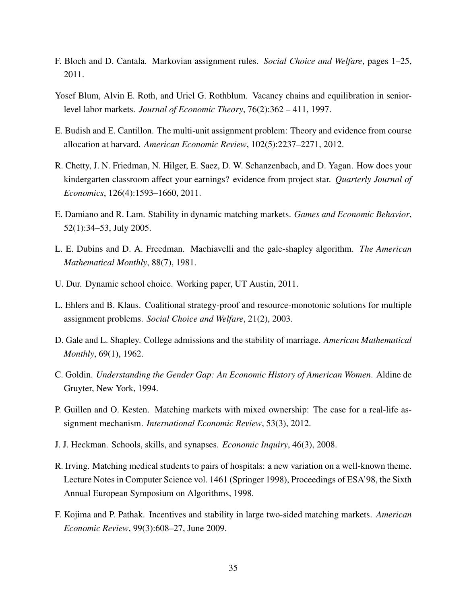- F. Bloch and D. Cantala. Markovian assignment rules. *Social Choice and Welfare*, pages 1–25, 2011.
- Yosef Blum, Alvin E. Roth, and Uriel G. Rothblum. Vacancy chains and equilibration in seniorlevel labor markets. *Journal of Economic Theory*, 76(2):362 – 411, 1997.
- E. Budish and E. Cantillon. The multi-unit assignment problem: Theory and evidence from course allocation at harvard. *American Economic Review*, 102(5):2237–2271, 2012.
- R. Chetty, J. N. Friedman, N. Hilger, E. Saez, D. W. Schanzenbach, and D. Yagan. How does your kindergarten classroom affect your earnings? evidence from project star. *Quarterly Journal of Economics*, 126(4):1593–1660, 2011.
- E. Damiano and R. Lam. Stability in dynamic matching markets. *Games and Economic Behavior*, 52(1):34–53, July 2005.
- L. E. Dubins and D. A. Freedman. Machiavelli and the gale-shapley algorithm. *The American Mathematical Monthly*, 88(7), 1981.
- U. Dur. Dynamic school choice. Working paper, UT Austin, 2011.
- L. Ehlers and B. Klaus. Coalitional strategy-proof and resource-monotonic solutions for multiple assignment problems. *Social Choice and Welfare*, 21(2), 2003.
- D. Gale and L. Shapley. College admissions and the stability of marriage. *American Mathematical Monthly*, 69(1), 1962.
- C. Goldin. *Understanding the Gender Gap: An Economic History of American Women*. Aldine de Gruyter, New York, 1994.
- P. Guillen and O. Kesten. Matching markets with mixed ownership: The case for a real-life assignment mechanism. *International Economic Review*, 53(3), 2012.
- J. J. Heckman. Schools, skills, and synapses. *Economic Inquiry*, 46(3), 2008.
- R. Irving. Matching medical students to pairs of hospitals: a new variation on a well-known theme. Lecture Notes in Computer Science vol. 1461 (Springer 1998), Proceedings of ESA'98, the Sixth Annual European Symposium on Algorithms, 1998.
- F. Kojima and P. Pathak. Incentives and stability in large two-sided matching markets. *American Economic Review*, 99(3):608–27, June 2009.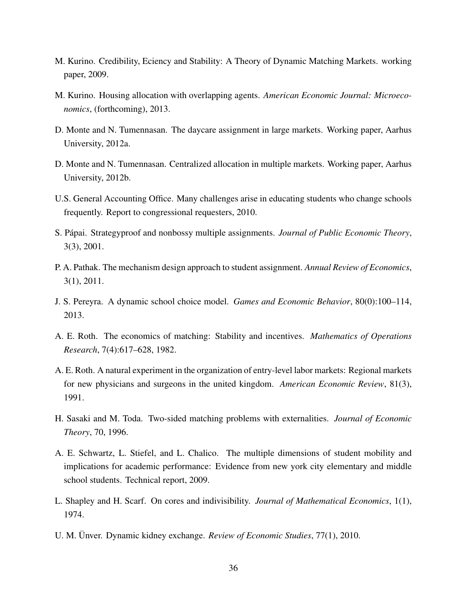- M. Kurino. Credibility, Eciency and Stability: A Theory of Dynamic Matching Markets. working paper, 2009.
- M. Kurino. Housing allocation with overlapping agents. *American Economic Journal: Microeconomics*, (forthcoming), 2013.
- D. Monte and N. Tumennasan. The daycare assignment in large markets. Working paper, Aarhus University, 2012a.
- D. Monte and N. Tumennasan. Centralized allocation in multiple markets. Working paper, Aarhus University, 2012b.
- U.S. General Accounting Office. Many challenges arise in educating students who change schools frequently. Report to congressional requesters, 2010.
- S. Pápai. Strategyproof and nonbossy multiple assignments. *Journal of Public Economic Theory*, 3(3), 2001.
- P. A. Pathak. The mechanism design approach to student assignment. *Annual Review of Economics*, 3(1), 2011.
- J. S. Pereyra. A dynamic school choice model. *Games and Economic Behavior*, 80(0):100–114, 2013.
- A. E. Roth. The economics of matching: Stability and incentives. *Mathematics of Operations Research*, 7(4):617–628, 1982.
- A. E. Roth. A natural experiment in the organization of entry-level labor markets: Regional markets for new physicians and surgeons in the united kingdom. *American Economic Review*, 81(3), 1991.
- H. Sasaki and M. Toda. Two-sided matching problems with externalities. *Journal of Economic Theory*, 70, 1996.
- A. E. Schwartz, L. Stiefel, and L. Chalico. The multiple dimensions of student mobility and implications for academic performance: Evidence from new york city elementary and middle school students. Technical report, 2009.
- L. Shapley and H. Scarf. On cores and indivisibility. *Journal of Mathematical Economics*, 1(1), 1974.
- U. M. Unver. Dynamic kidney exchange. *Review of Economic Studies*, 77(1), 2010.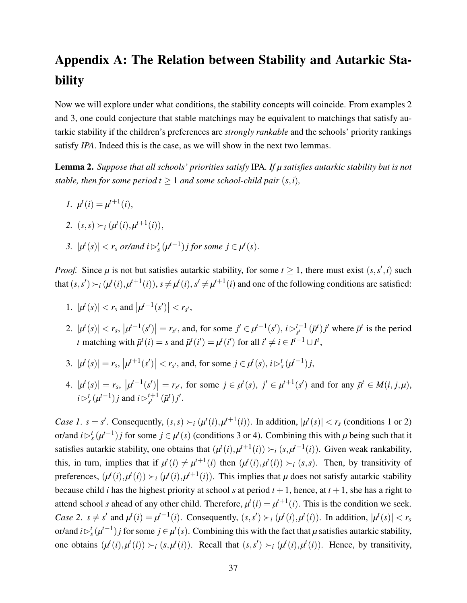## Appendix A: The Relation between Stability and Autarkic Stability

Now we will explore under what conditions, the stability concepts will coincide. From examples 2 and 3, one could conjecture that stable matchings may be equivalent to matchings that satisfy autarkic stability if the children's preferences are *strongly rankable* and the schools' priority rankings satisfy *IPA*. Indeed this is the case, as we will show in the next two lemmas.

Lemma 2. *Suppose that all schools' priorities satisfy* IPA*. If µ satisfies autarkic stability but is not stable, then for some period t*  $> 1$  *and some school-child pair*  $(s, i)$ *,* 

- *1.*  $\mu^{t}(i) = \mu^{t+1}(i),$
- 2.  $(s,s) \succ_i (\mu^t(i), \mu^{t+1}(i)),$
- 3.  $|\mu^t(s)| < r_s$  *or/and*  $i \rhd_s^t (\mu^{t-1})$  *j* for some  $j \in \mu^t(s)$ .

*Proof.* Since  $\mu$  is not but satisfies autarkic stability, for some  $t \geq 1$ , there must exist  $(s, s', i)$  such that  $(s, s') \succ_i (\mu^t(i), \mu^{t+1}(i)), s \neq \mu^t(i), s' \neq \mu^{t+1}(i)$  and one of the following conditions are satisfied:

- 1.  $|\mu^t(s)| < r_s$  and  $|\mu^{t+1}(s')| < r_{s'}$ ,
- 2.  $|\mu^t(s)| < r_s$ ,  $|\mu^{t+1}(s')| = r_{s'}$ , and, for some  $j' \in \mu^{t+1}(s')$ ,  $i \triangleright_{s'}^{t+1}$  $\bar{u}^{t+1}$  ( $\bar{\mu}^{t}$ ) *j'* where  $\bar{\mu}^{t}$  is the period *t* matching with  $\bar{\mu}^t(i) = s$  and  $\bar{\mu}^t(i') = \mu^t(i')$  for all  $i' \neq i \in I^{t-1} \cup I^t$ ,
- 3.  $|\mu^{t}(s)| = r_{s}, |\mu^{t+1}(s')| < r_{s'}$ , and, for some  $j \in \mu^{t}(s), i \rhd_{s}^{t} (\mu^{t-1})j$ ,
- 4.  $|\mu^{t}(s)| = r_{s}, |\mu^{t+1}(s')| = r_{s'}$ , for some  $j \in \mu^{t}(s), j' \in \mu^{t+1}(s')$  and for any  $\bar{\mu}^{t} \in M(i, j, \mu)$ ,  $i \triangleright_s^t (\mu^{t-1}) j$  and  $i \triangleright_{s'}^{t+1}$  $_{s'}^{t+1}(\bar{\mu}^t)j'.$

Case 1.  $s = s'$ . Consequently,  $(s, s) \succ_i (\mu^t(i), \mu^{t+1}(i))$ . In addition,  $|\mu^t(s)| < r_s$  (conditions 1 or 2) or/and  $i \triangleright_s^t (\mu^{t-1}) j$  for some  $j \in \mu^t(s)$  (conditions 3 or 4). Combining this with  $\mu$  being such that it satisfies autarkic stability, one obtains that  $(\mu^t(i), \mu^{t+1}(i)) \succ_i (s, \mu^{t+1}(i))$ . Given weak rankability, this, in turn, implies that if  $\mu^t(i) \neq \mu^{t+1}(i)$  then  $(\mu^t(i), \mu^t(i)) \succ_i (s, s)$ . Then, by transitivity of preferences,  $(\mu^t(i), \mu^t(i)) \succ_i (\mu^t(i), \mu^{t+1}(i))$ . This implies that  $\mu$  does not satisfy autarkic stability because child *i* has the highest priority at school *s* at period  $t + 1$ , hence, at  $t + 1$ , she has a right to attend school *s* ahead of any other child. Therefore,  $\mu^t(i) = \mu^{t+1}(i)$ . This is the condition we seek. *Case 2.*  $s \neq s'$  and  $\mu^t(i) = \mu^{t+1}(i)$ . Consequently,  $(s, s') \succ_i (\mu^t(i), \mu^t(i))$ . In addition,  $|\mu^t(s)| < r_s$ or/and  $i \triangleright_s^t (\mu^{t-1}) j$  for some  $j \in \mu^t(s)$ . Combining this with the fact that  $\mu$  satisfies autarkic stability, one obtains  $(\mu^t(i), \mu^t(i)) \succ_i (s, \mu^t(i))$ . Recall that  $(s, s') \succ_i (\mu^t(i), \mu^t(i))$ . Hence, by transitivity,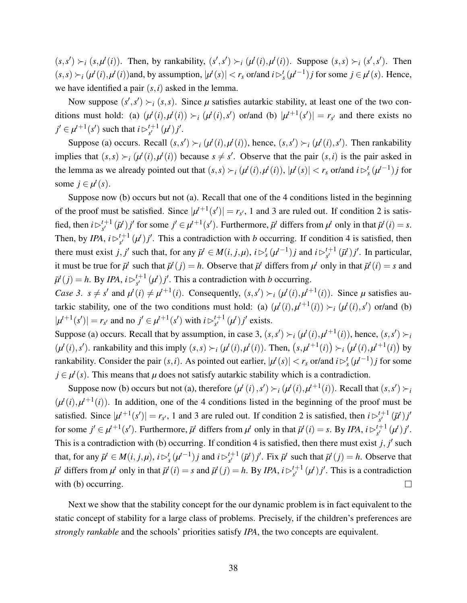$(s, s') \succ_i (s, \mu^t(i))$ . Then, by rankability,  $(s', s') \succ_i (\mu^t(i), \mu^t(i))$ . Suppose  $(s, s) \succ_i (s', s')$ . Then  $(s,s) \succ_i (\mu^t(i), \mu^t(i))$  and, by assumption,  $|\mu^t(s)| < r_s$  or/and  $i \rhd_s^t (\mu^{t-1}) j$  for some  $j \in \mu^t(s)$ . Hence, we have identified a pair (*s*,*i*) asked in the lemma.

Now suppose  $(s', s') \succ_i (s, s)$ . Since  $\mu$  satisfies autarkic stability, at least one of the two conditions must hold: (a)  $(\mu^t(i), \mu^t(i)) \succ_i (\mu^t(i), s')$  or/and (b)  $|\mu^{t+1}(s')| = r_{s'}$  and there exists no  $j' \in \mu^{t+1}(s')$  such that  $i \triangleright_{s'}^{t+1}$  $a_{s'}^{t+1}(\mu^t)j'.$ 

Suppose (a) occurs. Recall  $(s, s') \succ_i (\mu^t(i), \mu^t(i))$ , hence,  $(s, s') \succ_i (\mu^t(i), s')$ . Then rankability implies that  $(s, s) \succ_i (\mu^t(i), \mu^t(i))$  because  $s \neq s'$ . Observe that the pair  $(s, i)$  is the pair asked in the lemma as we already pointed out that  $(s,s) \succ_i (\mu^t(i), \mu^t(i))$ ,  $|\mu^t(s)| < r_s$  or/and  $i \rhd_s^t (\mu^{t-1}) j$  for some  $j \in \mu^t(s)$ .

Suppose now (b) occurs but not (a). Recall that one of the 4 conditions listed in the beginning of the proof must be satisfied. Since  $|\mu^{t+1}(s')| = r_{s'}$ , 1 and 3 are ruled out. If condition 2 is satisfied, then  $i \triangleright_{s'}^{t+1}$  $J_{s'}^{t+1}(\bar{\mu}^t)j'$  for some  $j' \in \mu^{t+1}(s')$ . Furthermore,  $\bar{\mu}^t$  differs from  $\mu^t$  only in that  $\bar{\mu}^t(i) = s$ . Then, by *IPA*,  $i \triangleright_{s'}^{t+1}$  $\int_{s'}^{t+1} (\mu') j'$ . This a contradiction with *b* occurring. If condition 4 is satisfied, then there must exist *j*, *j'* such that, for any  $\bar{\mu}^t \in M(i, j, \mu)$ ,  $i \rhd_s^t (\mu^{t-1}) j$  and  $i \rhd_{s'}^{t+1}$  $\int_{s'}^{t+1} (\bar{\mu}^t) j'.$  In particular, it must be true for  $\bar{\mu}^t$  such that  $\bar{\mu}^t(j) = h$ . Observe that  $\bar{\mu}^t$  differs from  $\mu^t$  only in that  $\bar{\mu}^t(i) = s$  and  $\bar{\mu}^t(j) = h$ . By *IPA*,  $i \triangleright_{s'}^{t+1}$  $\int_{s'}^{t+1} (\mu') j'$ . This a contradiction with *b* occurring.

*Case 3.*  $s \neq s'$  and  $\mu^{t}(i) \neq \mu^{t+1}(i)$ . Consequently,  $(s, s') \succ_{i} (\mu^{t}(i), \mu^{t+1}(i))$ . Since  $\mu$  satisfies autarkic stability, one of the two conditions must hold: (a)  $(\mu^t(i), \mu^{t+1}(i)) \succ_i (\mu^t(i), s')$  or/and (b)  $|\mu^{t+1}(s')| = r_{s'}$  and no  $j' \in \mu^{t+1}(s')$  with  $i \triangleright_{s'}^{t+1}$  $s'_{s'}$ <sup> $t+1$ </sup> ( $\mu^t$ ) *j'* exists.

Suppose (a) occurs. Recall that by assumption, in case 3,  $(s, s') \succ_i (\mu^t(i), \mu^{t+1}(i))$ , hence,  $(s, s') \succ_i$  $(\mu^t(i), s')$ . rankability and this imply  $(s, s) \succ_i (\mu^t(i), \mu^t(i))$ . Then,  $(s, \mu^{t+1}(i)) \succ_i (\mu^t(i), \mu^{t+1}(i))$  by rankability. Consider the pair  $(s, i)$ . As pointed out earlier,  $|\mu^t(s)| < r_s$  or/and  $i \rhd_s^t (\mu^{t-1}) j$  for some  $j \in \mu^t(s)$ . This means that  $\mu$  does not satisfy autarkic stability which is a contradiction.

Suppose now (b) occurs but not (a), therefore  $(\mu^t(i), s') \succ_i (\mu^t(i), \mu^{t+1}(i))$ . Recall that  $(s, s') \succ_i$  $(\mu^t(i), \mu^{t+1}(i))$ . In addition, one of the 4 conditions listed in the beginning of the proof must be satisfied. Since  $|\mu^{t+1}(s')| = r_{s'}$ , 1 and 3 are ruled out. If condition 2 is satisfied, then  $i \triangleright_{s'}^{t+1}$  $\bar{g}^{t+1}(\bar{\mu}^t)j'$ for some  $j' \in \mu^{t+1}(s')$ . Furthermore,  $\bar{\mu}^t$  differs from  $\mu^t$  only in that  $\bar{\mu}^t(i) = s$ . By *IPA*,  $i \triangleright_{s'}^{t+1}$  $a_{s'}^{t+1}(\mu^t)j'.$ This is a contradiction with (b) occurring. If condition 4 is satisfied, then there must exist  $j$ ,  $j'$  such that, for any  $\bar{\mu}^t \in M(i, j, \mu)$ ,  $i \rhd_s^t (\mu^{t-1}) j$  and  $i \rhd_{s'}^{t+1}$  $\bar{u}^{t+1}$  ( $\bar{\mu}^{t}$ ) *j'*. Fix  $\bar{\mu}^{t}$  such that  $\bar{\mu}^{t}(j) = h$ . Observe that  $\bar{\mu}^t$  differs from  $\mu^t$  only in that  $\bar{\mu}^t(i) = s$  and  $\bar{\mu}^t(j) = h$ . By *IPA*,  $i \triangleright_{s'}^{t+1}$  $\int_{s'}^{t+1} (\mu^t) j'.$  This is a contradiction with (b) occurring.  $\Box$ 

Next we show that the stability concept for the our dynamic problem is in fact equivalent to the static concept of stability for a large class of problems. Precisely, if the children's preferences are *strongly rankable* and the schools' priorities satisfy *IPA*, the two concepts are equivalent.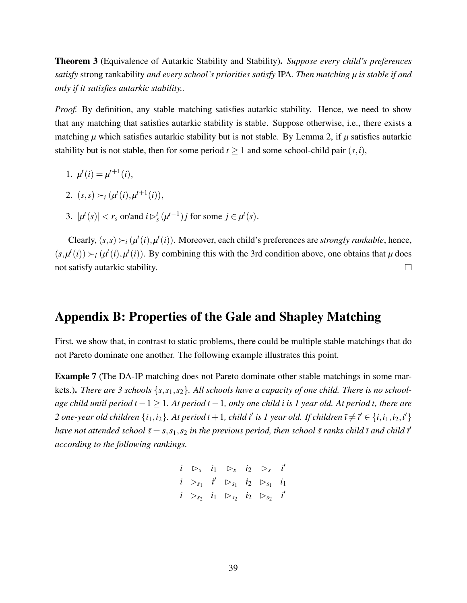Theorem 3 (Equivalence of Autarkic Stability and Stability). *Suppose every child's preferences satisfy* strong rankability *and every school's priorities satisfy* IPA*. Then matching µ is stable if and only if it satisfies autarkic stability..*

*Proof.* By definition, any stable matching satisfies autarkic stability. Hence, we need to show that any matching that satisfies autarkic stability is stable. Suppose otherwise, i.e., there exists a matching  $\mu$  which satisfies autarkic stability but is not stable. By Lemma 2, if  $\mu$  satisfies autarkic stability but is not stable, then for some period  $t \ge 1$  and some school-child pair  $(s, i)$ ,

- 1.  $\mu^t(i) = \mu^{t+1}(i),$
- 2.  $(s,s) \succ_i (\mu^t(i), \mu^{t+1}(i)),$
- 3.  $|\mu^t(s)| < r_s$  or/and  $i \rhd_s^t (\mu^{t-1}) j$  for some  $j \in \mu^t(s)$ .

Clearly,  $(s, s) \rightarrow_i (\mu^t(i), \mu^t(i))$ . Moreover, each child's preferences are *strongly rankable*, hence,  $(s, \mu^t(i)) \succ_i (\mu^t(i), \mu^t(i))$ . By combining this with the 3rd condition above, one obtains that  $\mu$  does not satisfy autarkic stability.  $\Box$ 

### Appendix B: Properties of the Gale and Shapley Matching

First, we show that, in contrast to static problems, there could be multiple stable matchings that do not Pareto dominate one another. The following example illustrates this point.

Example 7 (The DA-IP matching does not Pareto dominate other stable matchings in some markets.). *There are 3 schools* {*s*,*s*1,*s*2}*. All schools have a capacity of one child. There is no schoolage child until period t* −1  $\geq$  1*. At period t* − 1*, only one child i is 1 year old. At period t, there are*  $2$  one-year old children  $\{i_1,i_2\}$ . At period  $t+1$ , child i $'$  is  $I$  year old. If children  $\bar{\imath}\neq\bar{\imath}'\in\{i,i_1,i_2,i'\}$ *have not attended school*  $\bar{s}$  =  $s$ , $s_1$ , $s_2$  *in the previous period, then school*  $\bar{s}$  *ranks child*  $\bar{\iota}$  *and child*  $\bar{\iota}$ *according to the following rankings.*

$$
\begin{array}{ccccccc}\ni & \mathrel{\rhd}_s & i_1 & \mathrel{\rhd}_s & i_2 & \mathrel{\rhd}_s & i' \\
i & \mathrel{\rhd}_{s_1} & i' & \mathrel{\rhd}_{s_1} & i_2 & \mathrel{\rhd}_{s_1} & i_1 \\
i & \mathrel{\rhd}_{s_2} & i_1 & \mathrel{\rhd}_{s_2} & i_2 & \mathrel{\rhd}_{s_2} & i'\n\end{array}
$$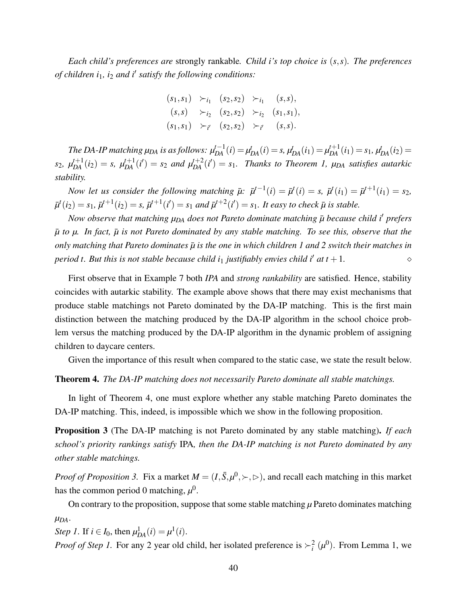*Each child's preferences are* strongly rankable*. Child i's top choice is* (*s*,*s*)*. The preferences of children i*<sub>1</sub>, *i*<sub>2</sub> *and i<sup>* $\prime$ *</sup> satisfy the following conditions:* 

|  | $(s_1, s_1) \succ_{i_1} (s_2, s_2) \succ_{i_1} (s, s),$           |  |
|--|-------------------------------------------------------------------|--|
|  | $(s,s) \rightarrow_{i_2} (s_2,s_2) \rightarrow_{i_2} (s_1,s_1),$  |  |
|  | $(s_1, s_1) \rightarrow_{i'} (s_2, s_2) \rightarrow_{i'} (s, s).$ |  |

The DA-IP matching  $\mu_{DA}$  is as follows:  $\mu_{DA}^{t-1}(i) = \mu_{DA}^{t}(i) = s$ ,  $\mu_{DA}^{t}(i_1) = \mu_{DA}^{t+1}(i_1) = s_1$ ,  $\mu_{DA}^{t}(i_2) = s_2$  $s_2$ ,  $\mu_{DA}^{t+1}(i_2) = s$ ,  $\mu_{DA}^{t+1}(i') = s_2$  and  $\mu_{DA}^{t+2}(i') = s_1$ . Thanks to Theorem 1,  $\mu_{DA}$  satisfies autarkic *stability.*

*Now let us consider the following matching*  $\bar{\mu}$ *:*  $\bar{\mu}^{t-1}(i) = \bar{\mu}^t(i) = s$ ,  $\bar{\mu}^t(i_1) = \bar{\mu}^{t+1}(i_1) = s_2$ ,  $\bar{\mu}^t(i_2) = s_1$ ,  $\bar{\mu}^{t+1}(i_2) = s$ ,  $\bar{\mu}^{t+1}(i') = s_1$  and  $\bar{\mu}^{t+2}(i') = s_1$ . It easy to check  $\bar{\mu}$  is stable.

 $N$ ow observe that matching  $\mu_{DA}$  does not Pareto dominate matching  $\bar{\mu}$  because child i<sup>t</sup> prefers  $\bar{\mu}$  *to*  $\mu$ . In fact,  $\bar{\mu}$  *is not Pareto dominated by any stable matching. To see this, observe that the only matching that Pareto dominates µ is the one in which children 1 and 2 switch their matches in* ¯ *period t. But this is not stable because child i<sub>1</sub> justifiably envies child i' at t* + 1.

First observe that in Example 7 both *IPA* and *strong rankability* are satisfied. Hence, stability coincides with autarkic stability. The example above shows that there may exist mechanisms that produce stable matchings not Pareto dominated by the DA-IP matching. This is the first main distinction between the matching produced by the DA-IP algorithm in the school choice problem versus the matching produced by the DA-IP algorithm in the dynamic problem of assigning children to daycare centers.

Given the importance of this result when compared to the static case, we state the result below.

#### Theorem 4. *The DA-IP matching does not necessarily Pareto dominate all stable matchings.*

In light of Theorem 4, one must explore whether any stable matching Pareto dominates the DA-IP matching. This, indeed, is impossible which we show in the following proposition.

Proposition 3 (The DA-IP matching is not Pareto dominated by any stable matching). *If each school's priority rankings satisfy* IPA*, then the DA-IP matching is not Pareto dominated by any other stable matchings.*

*Proof of Proposition 3.* Fix a market  $M = (I, \bar{S}, \mu^0, \rangle, \rangle)$ , and recall each matching in this market has the common period 0 matching,  $\mu^0$ .

On contrary to the proposition, suppose that some stable matching  $\mu$  Pareto dominates matching *µDA*.

*Step 1*. If  $i \in I_0$ , then  $\mu_{DA}^1(i) = \mu^1(i)$ .

*Proof of Step 1*. For any 2 year old child, her isolated preference is  $\succ_i^2(\mu^0)$ . From Lemma 1, we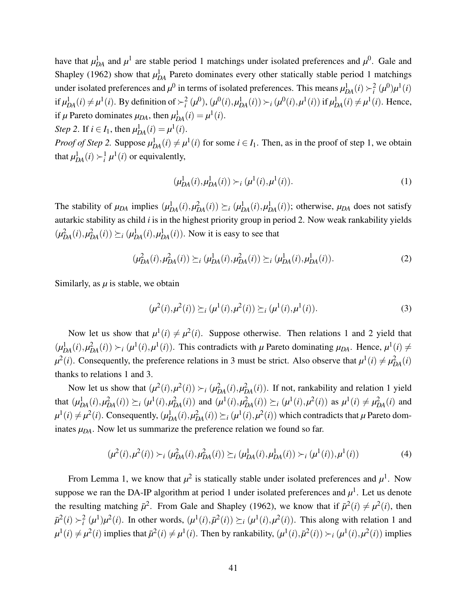have that  $\mu_{DA}^1$  and  $\mu^1$  are stable period 1 matchings under isolated preferences and  $\mu^0$ . Gale and Shapley (1962) show that  $\mu_{DA}^1$  Pareto dominates every other statically stable period 1 matchings under isolated preferences and  $\mu^0$  in terms of isolated preferences. This means  $\mu^1_{DA}(i) \succ^2_i (\mu^0) \mu^1(i)$ if  $\mu_{DA}^1(i) \neq \mu^1(i)$ . By definition of  $\succ_i^2(\mu^0)$ ,  $(\mu^0(i), \mu_{DA}^1(i)) \succ_i (\mu^0(i), \mu^1(i))$  if  $\mu_{DA}^1(i) \neq \mu^1(i)$ . Hence, if  $\mu$  Pareto dominates  $\mu_{DA}$ , then  $\mu_{DA}^1(i) = \mu^1(i)$ .

*Step 2*. If *i*  $\in I_1$ , then  $\mu_{DA}^1(i) = \mu^1(i)$ .

*Proof of Step 2.* Suppose  $\mu_{DA}^1(i) \neq \mu^1(i)$  for some  $i \in I_1$ . Then, as in the proof of step 1, we obtain that  $\mu_{DA}^1(i) \succ_i^1 \mu^1(i)$  or equivalently,

$$
(\mu_{DA}^1(i), \mu_{DA}^1(i)) \succ_i (\mu^1(i), \mu^1(i)).
$$
\n(1)

The stability of  $\mu_{DA}$  implies  $(\mu_{DA}^1(i), \mu_{DA}^2(i)) \succeq_i (\mu_{DA}^1(i), \mu_{DA}^1(i))$ ; otherwise,  $\mu_{DA}$  does not satisfy autarkic stability as child *i* is in the highest priority group in period 2. Now weak rankability yields  $(\mu_{DA}^2(i), \mu_{DA}^2(i)) \succeq_i (\mu_{DA}^1(i), \mu_{DA}^1(i))$ . Now it is easy to see that

$$
(\mu_{DA}^2(i), \mu_{DA}^2(i)) \succeq_i (\mu_{DA}^1(i), \mu_{DA}^2(i)) \succeq_i (\mu_{DA}^1(i), \mu_{DA}^1(i)).
$$
 (2)

Similarly, as  $\mu$  is stable, we obtain

$$
(\mu^{2}(i), \mu^{2}(i)) \succeq_{i} (\mu^{1}(i), \mu^{2}(i)) \succeq_{i} (\mu^{1}(i), \mu^{1}(i)).
$$
\n(3)

Now let us show that  $\mu^1(i) \neq \mu^2(i)$ . Suppose otherwise. Then relations 1 and 2 yield that  $(\mu_{DA}^1(i), \mu_{DA}^2(i)) \succ_i (\mu^1(i), \mu^1(i))$ . This contradicts with  $\mu$  Pareto dominating  $\mu_{DA}$ . Hence,  $\mu^1(i) \neq$  $\mu^2(i)$ . Consequently, the preference relations in 3 must be strict. Also observe that  $\mu^1(i) \neq \mu_{DA}^2(i)$ thanks to relations 1 and 3.

Now let us show that  $(\mu^2(i), \mu^2(i)) \succ_i (\mu^2_{DA}(i), \mu^2_{DA}(i))$ . If not, rankability and relation 1 yield that  $(\mu_{DA}^1(i), \mu_{DA}^2(i)) \succeq_i (\mu^1(i), \mu_{DA}^2(i))$  and  $(\mu^1(i), \mu_{DA}^2(i)) \succeq_i (\mu^1(i), \mu^2(i))$  as  $\mu^1(i) \neq \mu_{DA}^2(i)$  and  $\mu^1(i) \neq \mu^2(i)$ . Consequently,  $(\mu_{DA}^1(i), \mu_{DA}^2(i)) \succeq_i (\mu^1(i), \mu^2(i))$  which contradicts that  $\mu$  Pareto dominates  $\mu_{DA}$ . Now let us summarize the preference relation we found so far.

$$
(\mu^{2}(i), \mu^{2}(i)) \succ_{i} (\mu^{2}_{DA}(i), \mu^{2}_{DA}(i)) \succeq_{i} (\mu^{1}_{DA}(i), \mu^{1}_{DA}(i)) \succ_{i} (\mu^{1}(i)), \mu^{1}(i))
$$
(4)

From Lemma 1, we know that  $\mu^2$  is statically stable under isolated preferences and  $\mu^1$ . Now suppose we ran the DA-IP algorithm at period 1 under isolated preferences and  $\mu^1$ . Let us denote the resulting matching  $\bar{\mu}^2$ . From Gale and Shapley (1962), we know that if  $\bar{\mu}^2(i) \neq \mu^2(i)$ , then  $\bar{\mu}^2(i) \succ_i^2 (\mu^1) \mu^2(i)$ . In other words,  $(\mu^1(i), \bar{\mu}^2(i)) \succeq_i (\mu^1(i), \mu^2(i))$ . This along with relation 1 and  $\mu^1(i)\neq\mu^2(i)$  implies that  $\bar\mu^2(i)\neq\mu^1(i)$ . Then by rankability,  $(\mu^1(i),\bar\mu^2(i))\succ_i(\mu^1(i),\mu^2(i))$  implies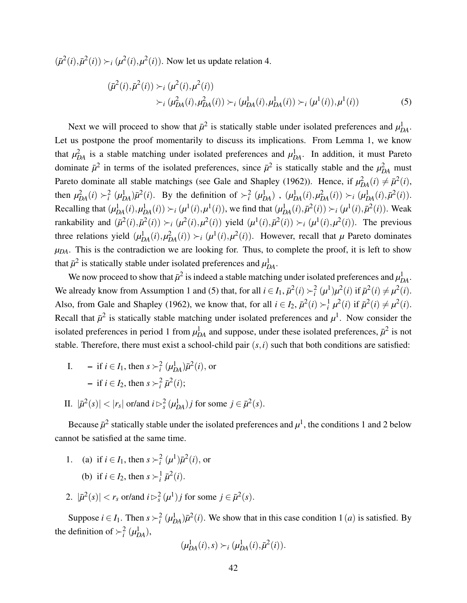$(\bar{\mu}^2(i), \bar{\mu}^2(i)) \succ_i (\mu^2(i), \mu^2(i))$ . Now let us update relation 4.

$$
(\bar{\mu}^2(i), \bar{\mu}^2(i)) \succ_i (\mu^2(i), \mu^2(i))
$$
  
 
$$
\succ_i (\mu^2_{DA}(i), \mu^2_{DA}(i)) \succ_i (\mu^1_{DA}(i), \mu^1_{DA}(i)) \succ_i (\mu^1(i)), \mu^1(i))
$$
 (5)

Next we will proceed to show that  $\bar{\mu}^2$  is statically stable under isolated preferences and  $\mu_{DA}^1$ . Let us postpone the proof momentarily to discuss its implications. From Lemma 1, we know that  $\mu_{DA}^2$  is a stable matching under isolated preferences and  $\mu_{DA}^1$ . In addition, it must Pareto dominate  $\bar{\mu}^2$  in terms of the isolated preferences, since  $\bar{\mu}^2$  is statically stable and the  $\mu_{DA}^2$  must Pareto dominate all stable matchings (see Gale and Shapley (1962)). Hence, if  $\mu_{DA}^2(i) \neq \bar{\mu}^2(i)$ , then  $\mu_{DA}^2(i) \succ_i^2 (\mu_{DA}^1) \bar{\mu}^2(i)$ . By the definition of  $\succ_i^2 (\mu_{DA}^1)$ ,  $(\mu_{DA}^1(i), \mu_{DA}^2(i)) \succ_i (\mu_{DA}^1(i), \bar{\mu}^2(i))$ . Recalling that  $(\mu_{DA}^1(i), \mu_{DA}^1(i)) \succ_i (\mu^1(i), \mu^1(i))$ , we find that  $(\mu_{DA}^1(i), \bar{\mu}^2(i)) \succ_i (\mu^1(i), \bar{\mu}^2(i))$ . Weak rankability and  $(\bar{\mu}^2(i), \bar{\mu}^2(i)) \succ_i (\mu^2(i), \mu^2(i))$  yield  $(\mu^1(i), \bar{\mu}^2(i)) \succ_i (\mu^1(i), \mu^2(i))$ . The previous three relations yield  $(\mu_{DA}^1(i), \mu_{DA}^2(i)) \succ_i (\mu^1(i), \mu^2(i))$ . However, recall that  $\mu$  Pareto dominates  $\mu_{DA}$ . This is the contradiction we are looking for. Thus, to complete the proof, it is left to show that  $\bar{\mu}^2$  is statically stable under isolated preferences and  $\mu_{DA}^1$ .

We now proceed to show that  $\bar{\mu}^2$  is indeed a stable matching under isolated preferences and  $\mu_{DA}^1$ . We already know from Assumption 1 and (5) that, for all  $i \in I_1$ ,  $\bar{\mu}^2(i) \succ_i^2 (\mu^1) \mu^2(i)$  if  $\bar{\mu}^2(i) \neq \mu^2(i)$ . Also, from Gale and Shapley (1962), we know that, for all  $i \in I_2$ ,  $\bar{\mu}^2(i) \succ_i^1 \mu^2(i)$  if  $\bar{\mu}^2(i) \neq \mu^2(i)$ . Recall that  $\bar{\mu}^2$  is statically stable matching under isolated preferences and  $\mu^1$ . Now consider the isolated preferences in period 1 from  $\mu_{DA}^1$  and suppose, under these isolated preferences,  $\bar{\mu}^2$  is not stable. Therefore, there must exist a school-child pair (*s*,*i*) such that both conditions are satisfied:

- I. if *i*  $\in I_1$ , then  $s \succ_i^2 (\mu_{DA}^1) \bar{\mu}^2(i)$ , or  $\overline{\phantom{a}}$  if *i* ∈ *I*<sub>2</sub>, then *s* ≻  $\frac{2}{i}$   $\overline{\mu}^2(i)$ ;
- II.  $|\bar{\mu}^2(s)| < |r_s|$  or/and  $i \rhd_s^2 (\mu_{DA}^1) j$  for some  $j \in \bar{\mu}^2(s)$ .

Because  $\bar{\mu}^2$  statically stable under the isolated preferences and  $\mu^1$ , the conditions 1 and 2 below cannot be satisfied at the same time.

- 1. (a) if  $i \in I_1$ , then  $s \succ_i^2 (\mu^1) \bar{\mu}^2(i)$ , or (b) if  $i \in I_2$ , then  $s \succ_i^1 \bar{\mu}^2(i)$ .
- 2.  $|\bar{\mu}^2(s)| < r_s$  or/and  $i \rhd_s^2(\mu^1) j$  for some  $j \in \bar{\mu}^2(s)$ .

Suppose  $i \in I_1$ . Then  $s \succ_i^2 (\mu_{DA}^1) \bar{\mu}^2(i)$ . We show that in this case condition 1 (*a*) is satisfied. By the definition of  $\succ_i^2$  ( $\mu_{DA}^1$ ),

$$
(\mu_{DA}^1(i), s) \succ_i (\mu_{DA}^1(i), \bar{\mu}^2(i)).
$$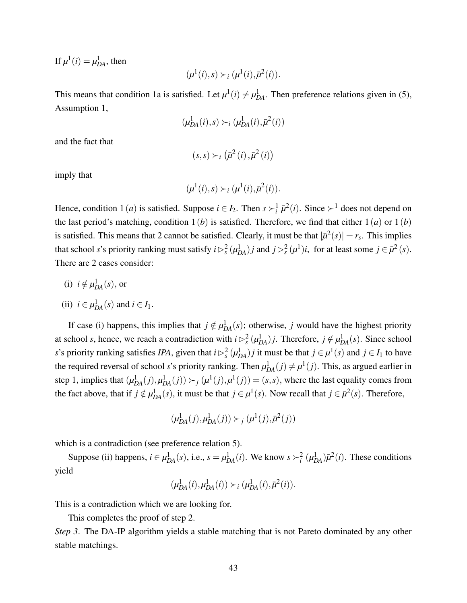If  $\mu^1(i) = \mu_{DA}^1$ , then

$$
(\mu^1(i),s) \succ_i (\mu^1(i),\bar{\mu}^2(i)).
$$

This means that condition 1a is satisfied. Let  $\mu^1(i) \neq \mu^1_{DA}$ . Then preference relations given in (5), Assumption 1,

$$
(\mu_{DA}^1(i), s) \succ_i (\mu_{DA}^1(i), \bar{\mu}^2(i))
$$

and the fact that

$$
(s,s) \succ_i (\bar{\mu}^2(i), \bar{\mu}^2(i))
$$

imply that

$$
(\mu^1(i),s) \succ_i (\mu^1(i),\bar{\mu}^2(i)).
$$

Hence, condition  $1(a)$  is satisfied. Suppose  $i \in I_2$ . Then  $s \succ_i^1 \bar{\mu}^2(i)$ . Since  $\succ^1$  does not depend on the last period's matching, condition  $1(b)$  is satisfied. Therefore, we find that either  $1(a)$  or  $1(b)$ is satisfied. This means that 2 cannot be satisfied. Clearly, it must be that  $|\bar{\mu}^2(s)| = r_s$ . This implies that school *s*'s priority ranking must satisfy  $i \rhd^2_s (\mu_{DA}^1) j$  and  $j \rhd^2_s (\mu^1) i$ , for at least some  $j \in \bar{\mu}^2(s)$ . There are 2 cases consider:

- (i)  $i \notin \mu_{DA}^1(s)$ , or
- (ii)  $i \in \mu_{DA}^1(s)$  and  $i \in I_1$ .

If case (i) happens, this implies that  $j \notin \mu_{DA}^1(s)$ ; otherwise, *j* would have the highest priority at school *s*, hence, we reach a contradiction with  $i \rhd_s^2 (\mu_{DA}^1) j$ . Therefore,  $j \notin \mu_{DA}^1(s)$ . Since school *s*'s priority ranking satisfies *IPA*, given that  $i \rhd^2_s (\mu_{DA}^1) j$  it must be that  $j \in \mu^1(s)$  and  $j \in I_1$  to have the required reversal of school *s*'s priority ranking. Then  $\mu_{DA}^1(j) \neq \mu^1(j)$ . This, as argued earlier in step 1, implies that  $(\mu_{DA}^1(j), \mu_{DA}^1(j)) \succ_j (\mu^1(j), \mu^1(j)) = (s, s)$ , where the last equality comes from the fact above, that if  $j \notin \mu_{DA}^1(s)$ , it must be that  $j \in \mu^1(s)$ . Now recall that  $j \in \bar{\mu}^2(s)$ . Therefore,

$$
(\mu_{DA}^1(j), \mu_{DA}^1(j)) \succ_j (\mu^1(j), \bar{\mu}^2(j))
$$

which is a contradiction (see preference relation 5).

Suppose (ii) happens,  $i \in \mu_{DA}^1(s)$ , i.e.,  $s = \mu_{DA}^1(i)$ . We know  $s \succ_i^2 (\mu_{DA}^1) \bar{\mu}^2(i)$ . These conditions yield

$$
(\mu_{DA}^1(i), \mu_{DA}^1(i)) \succ_i (\mu_{DA}^1(i), \bar{\mu}^2(i)).
$$

This is a contradiction which we are looking for.

This completes the proof of step 2.

*Step 3*. The DA-IP algorithm yields a stable matching that is not Pareto dominated by any other stable matchings.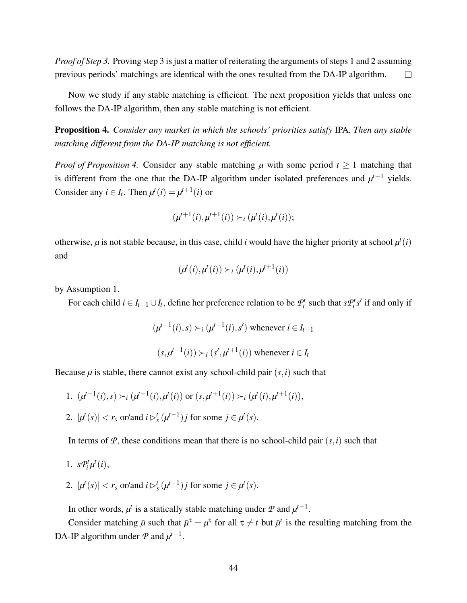*Proof of Step 3.* Proving step 3 is just a matter of reiterating the arguments of steps 1 and 2 assuming previous periods' matchings are identical with the ones resulted from the DA-IP algorithm.  $\Box$ 

Now we study if any stable matching is efficient. The next proposition yields that unless one follows the DA-IP algorithm, then any stable matching is not efficient.

Proposition 4. *Consider any market in which the schools' priorities satisfy* IPA*. Then any stable matching different from the DA-IP matching is not efficient.*

*Proof of Proposition 4.* Consider any stable matching  $\mu$  with some period  $t \ge 1$  matching that is different from the one that the DA-IP algorithm under isolated preferences and  $\mu^{t-1}$  yields. Consider any  $i \in I_t$ . Then  $\mu^t(i) = \mu^{t+1}(i)$  or

$$
(\mu^{t+1}(i), \mu^{t+1}(i)) \succ_i (\mu^{t}(i), \mu^{t}(i));
$$

otherwise,  $\mu$  is not stable because, in this case, child *i* would have the higher priority at school  $\mu^{t}(i)$ and

$$
(\mu^t(i), \mu^t(i)) \succ_i (\mu^t(i), \mu^{t+1}(i))
$$

by Assumption 1.

For each child  $i \in I_{t-1} \cup I_t$ , define her preference relation to be  $\mathcal{P}_i^t$  such that  $s\mathcal{P}_i^t s'$  if and only if

$$
(\mu^{t-1}(i), s) \succ_i (\mu^{t-1}(i), s') \text{ whenever } i \in I_{t-1}
$$
  

$$
(s, \mu^{t+1}(i)) \succ_i (s', \mu^{t+1}(i)) \text{ whenever } i \in I_t
$$

Because  $\mu$  is stable, there cannot exist any school-child pair  $(s, i)$  such that

1. 
$$
(\mu^{t-1}(i), s) \succ_i (\mu^{t-1}(i), \mu^{t}(i))
$$
 or  $(s, \mu^{t+1}(i)) \succ_i (\mu^{t}(i), \mu^{t+1}(i)),$ 

2.  $|\mu^t(s)| < r_s$  or/and  $i \rhd_s^t (\mu^{t-1}) j$  for some  $j \in \mu^t(s)$ .

In terms of  $P$ , these conditions mean that there is no school-child pair  $(s, i)$  such that

- 1.  $sP_i^t\mu^t(i)$ ,
- 2.  $|\mu^t(s)| < r_s$  or/and  $i \rhd_s^t (\mu^{t-1}) j$  for some  $j \in \mu^t(s)$ .

In other words,  $\mu^t$  is a statically stable matching under  $\mathcal P$  and  $\mu^{t-1}$ .

Consider matching  $\bar{\mu}$  such that  $\bar{\mu}^{\tau} = \mu^{\tau}$  for all  $\tau \neq t$  but  $\bar{\mu}^t$  is the resulting matching from the DA-IP algorithm under  $P$  and  $\mu^{t-1}$ .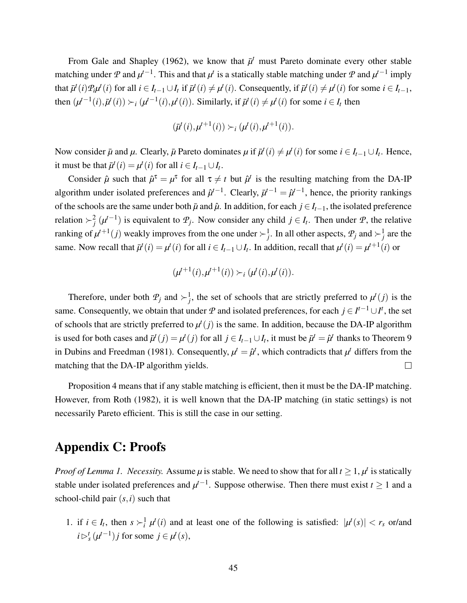From Gale and Shapley (1962), we know that  $\bar{\mu}^t$  must Pareto dominate every other stable matching under  $\mathcal P$  and  $\mu^{t-1}$ . This and that  $\mu^t$  is a statically stable matching under  $\mathcal P$  and  $\mu^{t-1}$  imply that  $\bar{\mu}^t(i) \mathcal{P}_i \mu^t(i)$  for all  $i \in I_{t-1} \cup I_t$  if  $\bar{\mu}^t(i) \neq \mu^t(i)$ . Consequently, if  $\bar{\mu}^t(i) \neq \mu^t(i)$  for some  $i \in I_{t-1}$ , then  $(\mu^{t-1}(i), \bar{\mu}^t(i)) \succ_i (\mu^{t-1}(i), \mu^t(i))$ . Similarly, if  $\bar{\mu}^t(i) \neq \mu^t(i)$  for some  $i \in I_t$  then

$$
(\bar{\mu}^t(i), \mu^{t+1}(i)) \succ_i (\mu^t(i), \mu^{t+1}(i)).
$$

Now consider  $\bar{\mu}$  and  $\mu$ . Clearly,  $\bar{\mu}$  Pareto dominates  $\mu$  if  $\bar{\mu}^t(i) \neq \mu^t(i)$  for some  $i \in I_{t-1} \cup I_t$ . Hence, it must be that  $\bar{\mu}^t(i) = \mu^t(i)$  for all  $i \in I_{t-1} \cup I_t$ .

Consider  $\hat{\mu}$  such that  $\hat{\mu}^{\tau} = \mu^{\tau}$  for all  $\tau \neq t$  but  $\hat{\mu}^t$  is the resulting matching from the DA-IP algorithm under isolated preferences and  $\hat{\mu}^{t-1}$ . Clearly,  $\bar{\mu}^{t-1} = \hat{\mu}^{t-1}$ , hence, the priority rankings of the schools are the same under both  $\bar{\mu}$  and  $\hat{\mu}$ . In addition, for each  $j \in I_{t-1}$ , the isolated preference relation  $\succ_j^2(\mu^{t-1})$  is equivalent to  $\mathcal{P}_j$ . Now consider any child  $j \in I_t$ . Then under  $\mathcal{P}$ , the relative ranking of  $\mu^{t+1}(j)$  weakly improves from the one under  $\succ_j^1$ . In all other aspects,  $\mathcal{P}_j$  and  $\succ_j^1$  are the same. Now recall that  $\bar{\mu}^t(i) = \mu^t(i)$  for all  $i \in I_{t-1} \cup I_t$ . In addition, recall that  $\mu^t(i) = \mu^{t+1}(i)$  or

$$
(\mu^{t+1}(i), \mu^{t+1}(i)) \succ_i (\mu^{t}(i), \mu^{t}(i)).
$$

Therefore, under both  $\mathcal{P}_j$  and  $\succ_j^1$ , the set of schools that are strictly preferred to  $\mu^t(j)$  is the same. Consequently, we obtain that under  $P$  and isolated preferences, for each  $j \in I^{t-1} \cup I^t$ , the set of schools that are strictly preferred to  $\mu^{t}(j)$  is the same. In addition, because the DA-IP algorithm is used for both cases and  $\bar{\mu}^t(j) = \mu^t(j)$  for all  $j \in I_{t-1} \cup I_t$ , it must be  $\bar{\mu}^t = \hat{\mu}^t$  thanks to Theorem 9 in Dubins and Freedman (1981). Consequently,  $\mu^t = \hat{\mu}^t$ , which contradicts that  $\mu^t$  differs from the matching that the DA-IP algorithm yields.  $\Box$ 

Proposition 4 means that if any stable matching is efficient, then it must be the DA-IP matching. However, from Roth (1982), it is well known that the DA-IP matching (in static settings) is not necessarily Pareto efficient. This is still the case in our setting.

### Appendix C: Proofs

*Proof of Lemma 1. Necessity.* Assume  $\mu$  is stable. We need to show that for all  $t \geq 1$ ,  $\mu^t$  is statically stable under isolated preferences and  $\mu^{t-1}$ . Suppose otherwise. Then there must exist  $t \geq 1$  and a school-child pair (*s*,*i*) such that

1. if  $i \in I_t$ , then  $s \succ_i^1 \mu^t(i)$  and at least one of the following is satisfied:  $|\mu^t(s)| < r_s$  or/and  $i \rhd_s^t (\mu^{t-1}) j$  for some  $j \in \mu^t(s)$ ,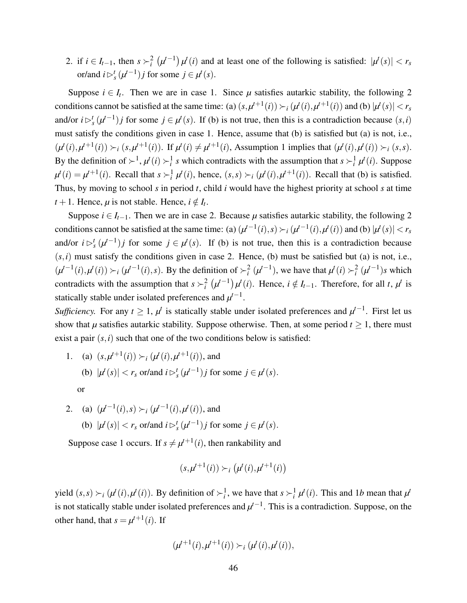2. if  $i \in I_{t-1}$ , then  $s \succ_i^2 (\mu^{t-1}) \mu^t(i)$  and at least one of the following is satisfied:  $|\mu^t(s)| < r_s$ or/and  $i \rhd_s^t (\mu^{t-1}) j$  for some  $j \in \mu^t(s)$ .

Suppose  $i \in I_t$ . Then we are in case 1. Since  $\mu$  satisfies autarkic stability, the following 2 conditions cannot be satisfied at the same time: (a)  $(s, \mu^{t+1}(i)) \succ_i (\mu^t(i), \mu^{t+1}(i))$  and (b)  $|\mu^t(s)| < r_s$ and/or  $i \rhd_s^t (\mu^{t-1}) j$  for some  $j \in \mu^t(s)$ . If (b) is not true, then this is a contradiction because  $(s, i)$ must satisfy the conditions given in case 1. Hence, assume that (b) is satisfied but (a) is not, i.e.,  $(\mu^t(i), \mu^{t+1}(i))$   $\succ_i (s, \mu^{t+1}(i))$ . If  $\mu^t(i) \neq \mu^{t+1}(i)$ , Assumption 1 implies that  $(\mu^t(i), \mu^t(i))$   $\succ_i (s, s)$ . By the definition of  $\succ$ <sup>1</sup>,  $\mu^t(i) \succ_i^1 s$  which contradicts with the assumption that  $s \succ_i^1 \mu^t(i)$ . Suppose  $\mu^{t}(i) = \mu^{t+1}(i)$ . Recall that  $s \succ_{i}^{1} \mu^{t}(i)$ , hence,  $(s, s) \succ_{i} (\mu^{t}(i), \mu^{t+1}(i))$ . Recall that (b) is satisfied. Thus, by moving to school *s* in period *t*, child *i* would have the highest priority at school *s* at time  $t + 1$ . Hence,  $\mu$  is not stable. Hence,  $i \notin I_t$ .

Suppose  $i \in I_{t-1}$ . Then we are in case 2. Because  $\mu$  satisfies autarkic stability, the following 2 conditions cannot be satisfied at the same time: (a)  $(\mu^{t-1}(i),s) \succ_i (\mu^{t-1}(i),\mu^{t}(i))$  and (b)  $|\mu^{t}(s)| < r_s$ and/or  $i \rhd_s^t (\mu^{t-1})j$  for some  $j \in \mu^t(s)$ . If (b) is not true, then this is a contradiction because  $(s, i)$  must satisfy the conditions given in case 2. Hence, (b) must be satisfied but (a) is not, i.e.,  $(\mu^{t-1}(i), \mu^{t}(i)) \succ_i (\mu^{t-1}(i), s)$ . By the definition of  $\succ_i^2 (\mu^{t-1})$ , we have that  $\mu^{t}(i) \succ_i^2 (\mu^{t-1})$ s which contradicts with the assumption that  $s \succ_i^2 (\mu^{t-1}) \mu^t(i)$ . Hence,  $i \notin I_{t-1}$ . Therefore, for all *t*,  $\mu^t$  is statically stable under isolated preferences and  $\mu^{t-1}$ .

*Sufficiency.* For any  $t \geq 1$ ,  $\mu^t$  is statically stable under isolated preferences and  $\mu^{t-1}$ . First let us show that  $\mu$  satisfies autarkic stability. Suppose otherwise. Then, at some period  $t \geq 1$ , there must exist a pair  $(s, i)$  such that one of the two conditions below is satisfied:

- 1. (a)  $(s, \mu^{t+1}(i)) \succ_i (\mu^t(i), \mu^{t+1}(i))$ , and (b)  $|\mu^t(s)| < r_s$  or/and  $i \rhd_s^t (\mu^{t-1}) j$  for some  $j \in \mu^t(s)$ .
	- or
- 2. (a)  $(\mu^{t-1}(i), s) \succ_i (\mu^{t-1}(i), \mu^{t}(i))$ , and
	- (b)  $|\mu^t(s)| < r_s$  or/and  $i \rhd_s^t (\mu^{t-1}) j$  for some  $j \in \mu^t(s)$ .

Suppose case 1 occurs. If  $s \neq \mu^{t+1}(i)$ , then rankability and

$$
(s,\mu^{t+1}(i)) \succ_i \left(\mu^t(i),\mu^{t+1}(i)\right)
$$

yield  $(s,s) \succ_i (\mu^t(i), \mu^t(i))$ . By definition of  $\succ_i^1$ , we have that  $s \succ_i^1 \mu^t(i)$ . This and 1*b* mean that  $\mu^t$ is not statically stable under isolated preferences and  $\mu^{t-1}$ . This is a contradiction. Suppose, on the other hand, that  $s = \mu^{t+1}(i)$ . If

$$
(\mu^{t+1}(i), \mu^{t+1}(i)) \succ_i (\mu^{t}(i), \mu^{t}(i)),
$$